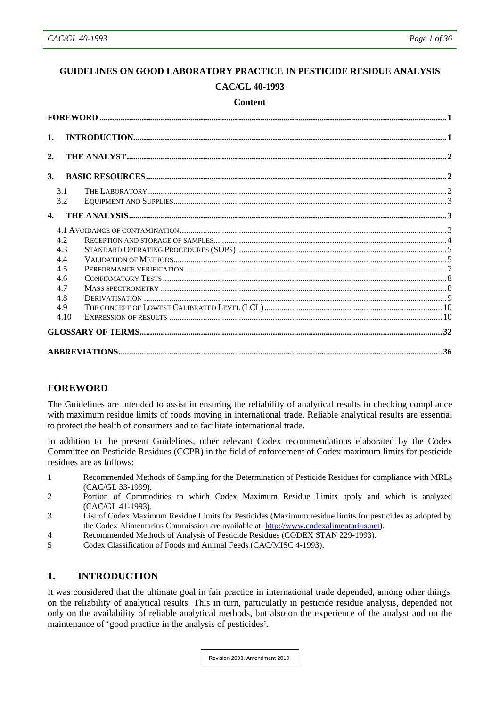# <span id="page-0-0"></span>**GUIDELINES ON GOOD LABORATORY PRACTICE IN PESTICIDE RESIDUE ANALYSIS CAC/GL 40-1993**

#### **Content**

| $\mathbf{1}$ . |      |  |
|----------------|------|--|
| 2.             |      |  |
| $\mathbf{3}$ . |      |  |
|                | 3.1  |  |
|                | 3.2  |  |
| $\mathbf{4}$   |      |  |
|                |      |  |
|                | 4.2  |  |
|                | 4.3  |  |
|                |      |  |
|                | 4.4  |  |
|                | 4.5  |  |
|                | 4.6  |  |
|                | 4.7  |  |
|                | 4.8  |  |
|                | 4.9  |  |
|                | 4.10 |  |
|                |      |  |
|                |      |  |

# **FOREWORD**

The Guidelines are intended to assist in ensuring the reliability of analytical results in checking compliance with maximum residue limits of foods moving in international trade. Reliable analytical results are essential to protect the health of consumers and to facilitate international trade.

In addition to the present Guidelines, other relevant Codex recommendations elaborated by the Codex Committee on Pesticide Residues (CCPR) in the field of enforcement of Codex maximum limits for pesticide residues are as follows:

- 1 Recommended Methods of Sampling for the Determination of Pesticide Residues for compliance with MRLs (CAC/GL 33-1999).
- 2 Portion of Commodities to which Codex Maximum Residue Limits apply and which is analyzed (CAC/GL 41-1993).
- 3 List of Codex Maximum Residue Limits for Pesticides (Maximum residue limits for pesticides as adopted by the Codex Alimentarius Commission are available at: [http://www.codexalimentarius.net](http://www.codexalimentarius.net/)).
- 4 Recommended Methods of Analysis of Pesticide Residues (CODEX STAN 229-1993).
- 5 Codex Classification of Foods and Animal Feeds (CAC/MISC 4-1993).

## **1. INTRODUCTION**

It was considered that the ultimate goal in fair practice in international trade depended, among other things, on the reliability of analytical results. This in turn, particularly in pesticide residue analysis, depended not only on the availability of reliable analytical methods, but also on the experience of the analyst and on the maintenance of 'good practice in the analysis of pesticides'.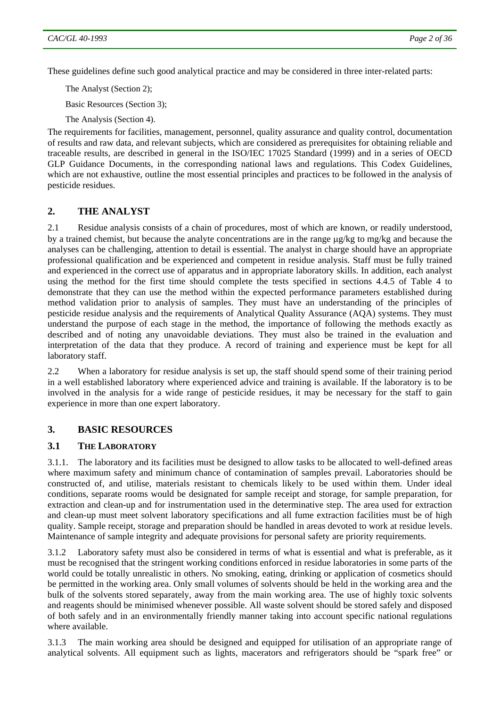<span id="page-1-0"></span>These guidelines define such good analytical practice and may be considered in three inter-related parts:

The Analyst (Section 2);

Basic Resources (Section 3);

The Analysis (Section 4).

The requirements for facilities, management, personnel, quality assurance and quality control, documentation of results and raw data, and relevant subjects, which are considered as prerequisites for obtaining reliable and traceable results, are described in general in the ISO/IEC 17025 Standard (1999) and in a series of OECD GLP Guidance Documents, in the corresponding national laws and regulations. This Codex Guidelines, which are not exhaustive, outline the most essential principles and practices to be followed in the analysis of pesticide residues.

#### **2. THE ANALYST**

2.1 Residue analysis consists of a chain of procedures, most of which are known, or readily understood, by a trained chemist, but because the analyte concentrations are in the range μg/kg to mg/kg and because the analyses can be challenging, attention to detail is essential. The analyst in charge should have an appropriate professional qualification and be experienced and competent in residue analysis. Staff must be fully trained and experienced in the correct use of apparatus and in appropriate laboratory skills. In addition, each analyst using the method for the first time should complete the tests specified in sections 4.4.5 of Table 4 to demonstrate that they can use the method within the expected performance parameters established during method validation prior to analysis of samples. They must have an understanding of the principles of pesticide residue analysis and the requirements of Analytical Quality Assurance (AQA) systems. They must understand the purpose of each stage in the method, the importance of following the methods exactly as described and of noting any unavoidable deviations. They must also be trained in the evaluation and interpretation of the data that they produce. A record of training and experience must be kept for all laboratory staff.

2.2 When a laboratory for residue analysis is set up, the staff should spend some of their training period in a well established laboratory where experienced advice and training is available. If the laboratory is to be involved in the analysis for a wide range of pesticide residues, it may be necessary for the staff to gain experience in more than one expert laboratory.

#### **3. BASIC RESOURCES**

#### **3.1 THE LABORATORY**

3.1.1. The laboratory and its facilities must be designed to allow tasks to be allocated to well-defined areas where maximum safety and minimum chance of contamination of samples prevail. Laboratories should be constructed of, and utilise, materials resistant to chemicals likely to be used within them. Under ideal conditions, separate rooms would be designated for sample receipt and storage, for sample preparation, for extraction and clean-up and for instrumentation used in the determinative step. The area used for extraction and clean-up must meet solvent laboratory specifications and all fume extraction facilities must be of high quality. Sample receipt, storage and preparation should be handled in areas devoted to work at residue levels. Maintenance of sample integrity and adequate provisions for personal safety are priority requirements.

3.1.2 Laboratory safety must also be considered in terms of what is essential and what is preferable, as it must be recognised that the stringent working conditions enforced in residue laboratories in some parts of the world could be totally unrealistic in others. No smoking, eating, drinking or application of cosmetics should be permitted in the working area. Only small volumes of solvents should be held in the working area and the bulk of the solvents stored separately, away from the main working area. The use of highly toxic solvents and reagents should be minimised whenever possible. All waste solvent should be stored safely and disposed of both safely and in an environmentally friendly manner taking into account specific national regulations where available.

3.1.3 The main working area should be designed and equipped for utilisation of an appropriate range of analytical solvents. All equipment such as lights, macerators and refrigerators should be "spark free" or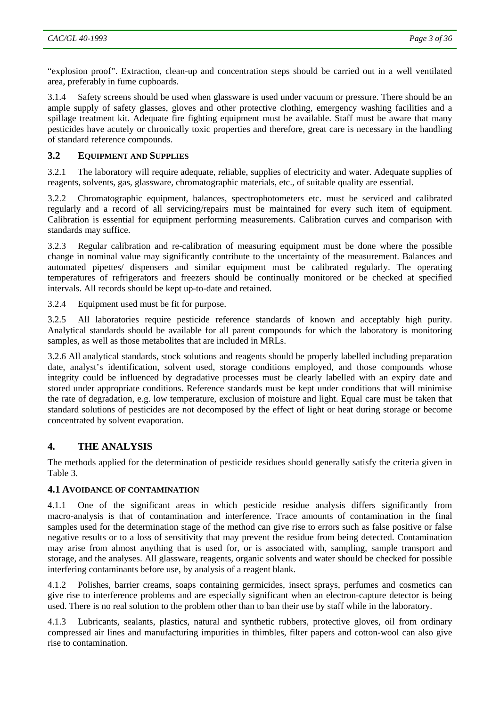<span id="page-2-0"></span>"explosion proof". Extraction, clean-up and concentration steps should be carried out in a well ventilated area, preferably in fume cupboards.

3.1.4 Safety screens should be used when glassware is used under vacuum or pressure. There should be an ample supply of safety glasses, gloves and other protective clothing, emergency washing facilities and a spillage treatment kit. Adequate fire fighting equipment must be available. Staff must be aware that many pesticides have acutely or chronically toxic properties and therefore, great care is necessary in the handling of standard reference compounds.

# **3.2 EQUIPMENT AND SUPPLIES**

3.2.1 The laboratory will require adequate, reliable, supplies of electricity and water. Adequate supplies of reagents, solvents, gas, glassware, chromatographic materials, etc., of suitable quality are essential.

3.2.2 Chromatographic equipment, balances, spectrophotometers etc. must be serviced and calibrated regularly and a record of all servicing/repairs must be maintained for every such item of equipment. Calibration is essential for equipment performing measurements. Calibration curves and comparison with standards may suffice.

3.2.3 Regular calibration and re-calibration of measuring equipment must be done where the possible change in nominal value may significantly contribute to the uncertainty of the measurement. Balances and automated pipettes/ dispensers and similar equipment must be calibrated regularly. The operating temperatures of refrigerators and freezers should be continually monitored or be checked at specified intervals. All records should be kept up-to-date and retained.

3.2.4 Equipment used must be fit for purpose.

3.2.5 All laboratories require pesticide reference standards of known and acceptably high purity. Analytical standards should be available for all parent compounds for which the laboratory is monitoring samples, as well as those metabolites that are included in MRLs.

3.2.6 All analytical standards, stock solutions and reagents should be properly labelled including preparation date, analyst's identification, solvent used, storage conditions employed, and those compounds whose integrity could be influenced by degradative processes must be clearly labelled with an expiry date and stored under appropriate conditions. Reference standards must be kept under conditions that will minimise the rate of degradation, e.g. low temperature, exclusion of moisture and light. Equal care must be taken that standard solutions of pesticides are not decomposed by the effect of light or heat during storage or become concentrated by solvent evaporation.

#### **4. THE ANALYSIS**

The methods applied for the determination of pesticide residues should generally satisfy the criteria given in Table 3.

#### **4.1 AVOIDANCE OF CONTAMINATION**

4.1.1 One of the significant areas in which pesticide residue analysis differs significantly from macro-analysis is that of contamination and interference. Trace amounts of contamination in the final samples used for the determination stage of the method can give rise to errors such as false positive or false negative results or to a loss of sensitivity that may prevent the residue from being detected. Contamination may arise from almost anything that is used for, or is associated with, sampling, sample transport and storage, and the analyses. All glassware, reagents, organic solvents and water should be checked for possible interfering contaminants before use, by analysis of a reagent blank.

4.1.2 Polishes, barrier creams, soaps containing germicides, insect sprays, perfumes and cosmetics can give rise to interference problems and are especially significant when an electron-capture detector is being used. There is no real solution to the problem other than to ban their use by staff while in the laboratory.

4.1.3 Lubricants, sealants, plastics, natural and synthetic rubbers, protective gloves, oil from ordinary compressed air lines and manufacturing impurities in thimbles, filter papers and cotton-wool can also give rise to contamination.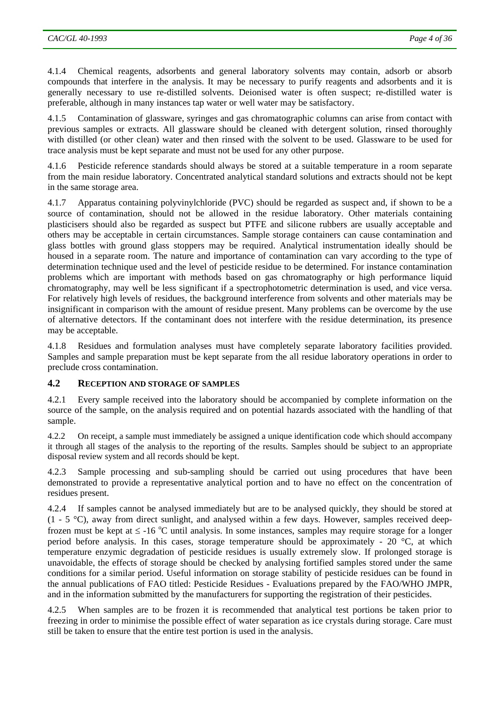<span id="page-3-0"></span>4.1.4 Chemical reagents, adsorbents and general laboratory solvents may contain, adsorb or absorb compounds that interfere in the analysis. It may be necessary to purify reagents and adsorbents and it is generally necessary to use re-distilled solvents. Deionised water is often suspect; re-distilled water is preferable, although in many instances tap water or well water may be satisfactory.

4.1.5 Contamination of glassware, syringes and gas chromatographic columns can arise from contact with previous samples or extracts. All glassware should be cleaned with detergent solution, rinsed thoroughly with distilled (or other clean) water and then rinsed with the solvent to be used. Glassware to be used for trace analysis must be kept separate and must not be used for any other purpose.

4.1.6 Pesticide reference standards should always be stored at a suitable temperature in a room separate from the main residue laboratory. Concentrated analytical standard solutions and extracts should not be kept in the same storage area.

4.1.7 Apparatus containing polyvinylchloride (PVC) should be regarded as suspect and, if shown to be a source of contamination, should not be allowed in the residue laboratory. Other materials containing plasticisers should also be regarded as suspect but PTFE and silicone rubbers are usually acceptable and others may be acceptable in certain circumstances. Sample storage containers can cause contamination and glass bottles with ground glass stoppers may be required. Analytical instrumentation ideally should be housed in a separate room. The nature and importance of contamination can vary according to the type of determination technique used and the level of pesticide residue to be determined. For instance contamination problems which are important with methods based on gas chromatography or high performance liquid chromatography, may well be less significant if a spectrophotometric determination is used, and vice versa. For relatively high levels of residues, the background interference from solvents and other materials may be insignificant in comparison with the amount of residue present. Many problems can be overcome by the use of alternative detectors. If the contaminant does not interfere with the residue determination, its presence may be acceptable.

4.1.8 Residues and formulation analyses must have completely separate laboratory facilities provided. Samples and sample preparation must be kept separate from the all residue laboratory operations in order to preclude cross contamination.

## **4.2 RECEPTION AND STORAGE OF SAMPLES**

4.2.1 Every sample received into the laboratory should be accompanied by complete information on the source of the sample, on the analysis required and on potential hazards associated with the handling of that sample.

4.2.2 On receipt, a sample must immediately be assigned a unique identification code which should accompany it through all stages of the analysis to the reporting of the results. Samples should be subject to an appropriate disposal review system and all records should be kept.

4.2.3 Sample processing and sub-sampling should be carried out using procedures that have been demonstrated to provide a representative analytical portion and to have no effect on the concentration of residues present.

4.2.4 If samples cannot be analysed immediately but are to be analysed quickly, they should be stored at  $(1 - 5 \degree C)$ , away from direct sunlight, and analysed within a few days. However, samples received deepfrozen must be kept at  $\leq$  -16 °C until analysis. In some instances, samples may require storage for a longer period before analysis. In this cases, storage temperature should be approximately - 20 °C, at which temperature enzymic degradation of pesticide residues is usually extremely slow. If prolonged storage is unavoidable, the effects of storage should be checked by analysing fortified samples stored under the same conditions for a similar period. Useful information on storage stability of pesticide residues can be found in the annual publications of FAO titled: Pesticide Residues - Evaluations prepared by the FAO/WHO JMPR, and in the information submitted by the manufacturers for supporting the registration of their pesticides.

4.2.5 When samples are to be frozen it is recommended that analytical test portions be taken prior to freezing in order to minimise the possible effect of water separation as ice crystals during storage. Care must still be taken to ensure that the entire test portion is used in the analysis.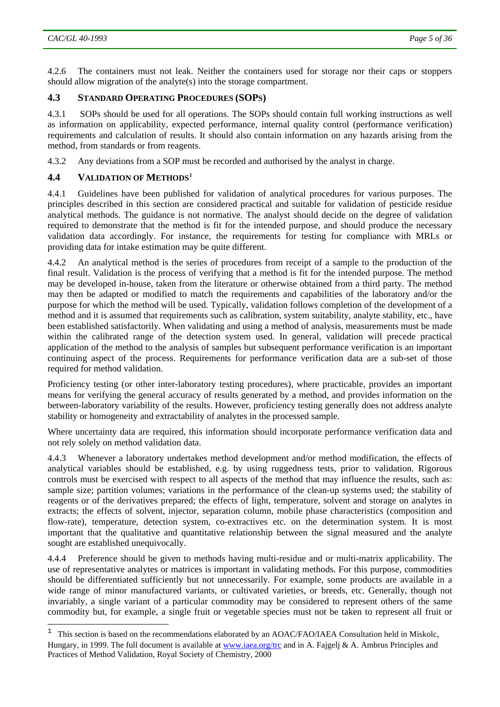l

<span id="page-4-0"></span>4.2.6 The containers must not leak. Neither the containers used for storage nor their caps or stoppers should allow migration of the analyte(s) into the storage compartment.

#### **4.3 STANDARD OPERATING PROCEDURES (SOPS)**

4.3.1 SOPs should be used for all operations. The SOPs should contain full working instructions as well as information on applicability, expected performance, internal quality control (performance verification) requirements and calculation of results. It should also contain information on any hazards arising from the method, from standards or from reagents.

4.3.2 Any deviations from a SOP must be recorded and authorised by the analyst in charge.

#### **4.4 VALIDATION OF METHODS[1](#page-4-1)**

4.4.1 Guidelines have been published for validation of analytical procedures for various purposes. The principles described in this section are considered practical and suitable for validation of pesticide residue analytical methods. The guidance is not normative. The analyst should decide on the degree of validation required to demonstrate that the method is fit for the intended purpose, and should produce the necessary validation data accordingly. For instance, the requirements for testing for compliance with MRLs or providing data for intake estimation may be quite different.

4.4.2 An analytical method is the series of procedures from receipt of a sample to the production of the final result. Validation is the process of verifying that a method is fit for the intended purpose. The method may be developed in-house, taken from the literature or otherwise obtained from a third party. The method may then be adapted or modified to match the requirements and capabilities of the laboratory and/or the purpose for which the method will be used. Typically, validation follows completion of the development of a method and it is assumed that requirements such as calibration, system suitability, analyte stability, etc., have been established satisfactorily. When validating and using a method of analysis, measurements must be made within the calibrated range of the detection system used. In general, validation will precede practical application of the method to the analysis of samples but subsequent performance verification is an important continuing aspect of the process. Requirements for performance verification data are a sub-set of those required for method validation.

Proficiency testing (or other inter-laboratory testing procedures), where practicable, provides an important means for verifying the general accuracy of results generated by a method, and provides information on the between-laboratory variability of the results. However, proficiency testing generally does not address analyte stability or homogeneity and extractability of analytes in the processed sample.

Where uncertainty data are required, this information should incorporate performance verification data and not rely solely on method validation data.

4.4.3 Whenever a laboratory undertakes method development and/or method modification, the effects of analytical variables should be established, e.g. by using ruggedness tests, prior to validation. Rigorous controls must be exercised with respect to all aspects of the method that may influence the results, such as: sample size; partition volumes; variations in the performance of the clean-up systems used; the stability of reagents or of the derivatives prepared; the effects of light, temperature, solvent and storage on analytes in extracts; the effects of solvent, injector, separation column, mobile phase characteristics (composition and flow-rate), temperature, detection system, co-extractives etc. on the determination system. It is most important that the qualitative and quantitative relationship between the signal measured and the analyte sought are established unequivocally.

4.4.4 Preference should be given to methods having multi-residue and or multi-matrix applicability. The use of representative analytes or matrices is important in validating methods. For this purpose, commodities should be differentiated sufficiently but not unnecessarily. For example, some products are available in a wide range of minor manufactured variants, or cultivated varieties, or breeds, etc. Generally, though not invariably, a single variant of a particular commodity may be considered to represent others of the same commodity but, for example, a single fruit or vegetable species must not be taken to represent all fruit or

<span id="page-4-1"></span><sup>1</sup> This section is based on the recommendations elaborated by an AOAC/FAO/IAEA Consultation held in Miskolc, Hungary, in 1999. The full document is available at [www.iaea.org/trc](http://www.iaea.org/trc) and in A. Fajgelj & A. Ambrus Principles and Practices of Method Validation, Royal Society of Chemistry, 2000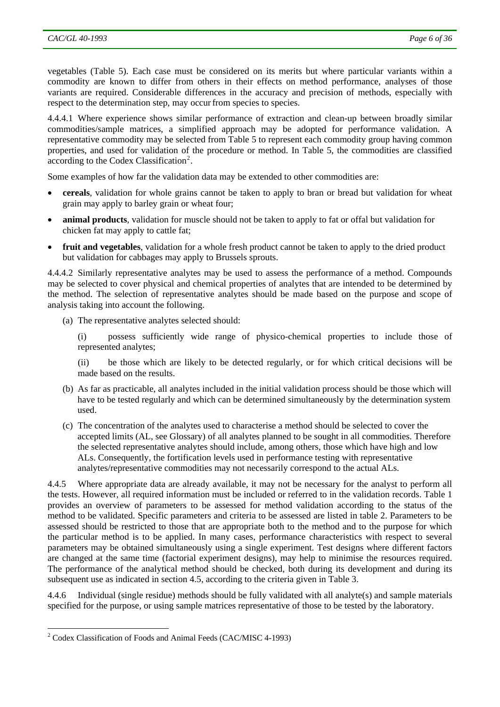vegetables (Table 5). Each case must be considered on its merits but where particular variants within a commodity are known to differ from others in their effects on method performance, analyses of those variants are required. Considerable differences in the accuracy and precision of methods, especially with respect to the determination step, may occur from species to species.

4.4.4.1 Where experience shows similar performance of extraction and clean-up between broadly similar commodities/sample matrices, a simplified approach may be adopted for performance validation. A representative commodity may be selected from Table 5 to represent each commodity group having common properties, and used for validation of the procedure or method. In Table 5, the commodities are classified  $\alpha$ ccording to the Codex Classification<sup>[2](#page-5-0)</sup>.

Some examples of how far the validation data may be extended to other commodities are:

- **cereals**, validation for whole grains cannot be taken to apply to bran or bread but validation for wheat grain may apply to barley grain or wheat four;
- **animal products**, validation for muscle should not be taken to apply to fat or offal but validation for chicken fat may apply to cattle fat;
- **fruit and vegetables**, validation for a whole fresh product cannot be taken to apply to the dried product but validation for cabbages may apply to Brussels sprouts.

4.4.4.2 Similarly representative analytes may be used to assess the performance of a method. Compounds may be selected to cover physical and chemical properties of analytes that are intended to be determined by the method. The selection of representative analytes should be made based on the purpose and scope of analysis taking into account the following.

(a) The representative analytes selected should:

(i) possess sufficiently wide range of physico-chemical properties to include those of represented analytes;

(ii) be those which are likely to be detected regularly, or for which critical decisions will be made based on the results.

- (b) As far as practicable, all analytes included in the initial validation process should be those which will have to be tested regularly and which can be determined simultaneously by the determination system used.
- (c) The concentration of the analytes used to characterise a method should be selected to cover the accepted limits (AL, see Glossary) of all analytes planned to be sought in all commodities. Therefore the selected representative analytes should include, among others, those which have high and low ALs. Consequently, the fortification levels used in performance testing with representative analytes/representative commodities may not necessarily correspond to the actual ALs.

4.4.5 Where appropriate data are already available, it may not be necessary for the analyst to perform all the tests. However, all required information must be included or referred to in the validation records. Table 1 provides an overview of parameters to be assessed for method validation according to the status of the method to be validated. Specific parameters and criteria to be assessed are listed in table 2. Parameters to be assessed should be restricted to those that are appropriate both to the method and to the purpose for which the particular method is to be applied. In many cases, performance characteristics with respect to several parameters may be obtained simultaneously using a single experiment. Test designs where different factors are changed at the same time (factorial experiment designs), may help to minimise the resources required. The performance of the analytical method should be checked, both during its development and during its subsequent use as indicated in section 4.5, according to the criteria given in Table 3.

4.4.6 Individual (single residue) methods should be fully validated with all analyte(s) and sample materials specified for the purpose, or using sample matrices representative of those to be tested by the laboratory.

 $\overline{\phantom{a}}$ 

<span id="page-5-0"></span><sup>&</sup>lt;sup>2</sup> Codex Classification of Foods and Animal Feeds (CAC/MISC 4-1993)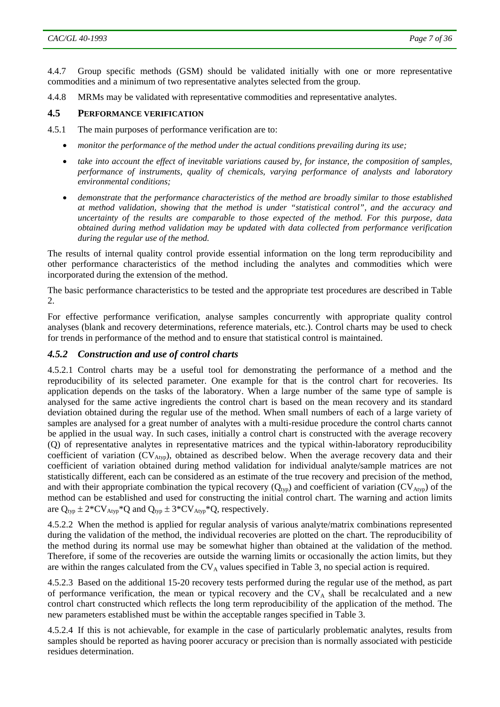<span id="page-6-0"></span>4.4.7 Group specific methods (GSM) should be validated initially with one or more representative commodities and a minimum of two representative analytes selected from the group.

4.4.8 MRMs may be validated with representative commodities and representative analytes.

#### **4.5 PERFORMANCE VERIFICATION**

- 4.5.1 The main purposes of performance verification are to:
	- *monitor the performance of the method under the actual conditions prevailing during its use;*
	- *take into account the effect of inevitable variations caused by, for instance, the composition of samples, performance of instruments, quality of chemicals, varying performance of analysts and laboratory environmental conditions;*
	- *demonstrate that the performance characteristics of the method are broadly similar to those established at method validation, showing that the method is under "statistical control", and the accuracy and uncertainty of the results are comparable to those expected of the method. For this purpose, data obtained during method validation may be updated with data collected from performance verification during the regular use of the method.*

The results of internal quality control provide essential information on the long term reproducibility and other performance characteristics of the method including the analytes and commodities which were incorporated during the extension of the method.

The basic performance characteristics to be tested and the appropriate test procedures are described in Table  $\mathcal{D}_{\mathcal{L}}$ 

For effective performance verification, analyse samples concurrently with appropriate quality control analyses (blank and recovery determinations, reference materials, etc.). Control charts may be used to check for trends in performance of the method and to ensure that statistical control is maintained.

#### *4.5.2 Construction and use of control charts*

4.5.2.1 Control charts may be a useful tool for demonstrating the performance of a method and the reproducibility of its selected parameter. One example for that is the control chart for recoveries. Its application depends on the tasks of the laboratory. When a large number of the same type of sample is analysed for the same active ingredients the control chart is based on the mean recovery and its standard deviation obtained during the regular use of the method. When small numbers of each of a large variety of samples are analysed for a great number of analytes with a multi-residue procedure the control charts cannot be applied in the usual way. In such cases, initially a control chart is constructed with the average recovery (Q) of representative analytes in representative matrices and the typical within-laboratory reproducibility coefficient of variation  $(CV<sub>Atyp</sub>)$ , obtained as described below. When the average recovery data and their coefficient of variation obtained during method validation for individual analyte/sample matrices are not statistically different, each can be considered as an estimate of the true recovery and precision of the method, and with their appropriate combination the typical recovery  $(Q_{\text{two}})$  and coefficient of variation  $(CV_{\text{Atvo}})$  of the method can be established and used for constructing the initial control chart. The warning and action limits are  $Q_{typ} \pm 2*CV_{Atyp}*Q$  and  $Q_{typ} \pm 3*CV_{Atyp}*Q$ , respectively.

4.5.2.2 When the method is applied for regular analysis of various analyte/matrix combinations represented during the validation of the method, the individual recoveries are plotted on the chart. The reproducibility of the method during its normal use may be somewhat higher than obtained at the validation of the method. Therefore, if some of the recoveries are outside the warning limits or occasionally the action limits, but they are within the ranges calculated from the  $CV<sub>A</sub>$  values specified in Table 3, no special action is required.

4.5.2.3 Based on the additional 15-20 recovery tests performed during the regular use of the method, as part of performance verification, the mean or typical recovery and the  $CV_A$  shall be recalculated and a new control chart constructed which reflects the long term reproducibility of the application of the method. The new parameters established must be within the acceptable ranges specified in Table 3.

4.5.2.4 If this is not achievable, for example in the case of particularly problematic analytes, results from samples should be reported as having poorer accuracy or precision than is normally associated with pesticide residues determination.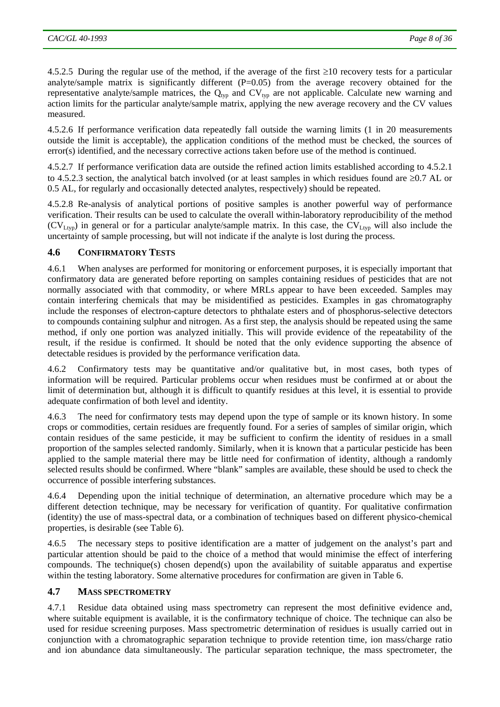<span id="page-7-0"></span>4.5.2.5 During the regular use of the method, if the average of the first ≥10 recovery tests for a particular analyte/sample matrix is significantly different  $(P=0.05)$  from the average recovery obtained for the representative analyte/sample matrices, the  $Q_{typ}$  and  $CV_{typ}$  are not applicable. Calculate new warning and action limits for the particular analyte/sample matrix, applying the new average recovery and the CV values measured.

4.5.2.6 If performance verification data repeatedly fall outside the warning limits (1 in 20 measurements outside the limit is acceptable), the application conditions of the method must be checked, the sources of error(s) identified, and the necessary corrective actions taken before use of the method is continued.

4.5.2.7 If performance verification data are outside the refined action limits established according to 4.5.2.1 to 4.5.2.3 section, the analytical batch involved (or at least samples in which residues found are ≥0.7 AL or 0.5 AL, for regularly and occasionally detected analytes, respectively) should be repeated.

4.5.2.8 Re-analysis of analytical portions of positive samples is another powerful way of performance verification. Their results can be used to calculate the overall within-laboratory reproducibility of the method  $(CV_{Ltvp})$  in general or for a particular analyte/sample matrix. In this case, the  $CV_{Ltvp}$  will also include the uncertainty of sample processing, but will not indicate if the analyte is lost during the process.

# **4.6 CONFIRMATORY TESTS**

4.6.1 When analyses are performed for monitoring or enforcement purposes, it is especially important that confirmatory data are generated before reporting on samples containing residues of pesticides that are not normally associated with that commodity, or where MRLs appear to have been exceeded. Samples may contain interfering chemicals that may be misidentified as pesticides. Examples in gas chromatography include the responses of electron-capture detectors to phthalate esters and of phosphorus-selective detectors to compounds containing sulphur and nitrogen. As a first step, the analysis should be repeated using the same method, if only one portion was analyzed initially. This will provide evidence of the repeatability of the result, if the residue is confirmed. It should be noted that the only evidence supporting the absence of detectable residues is provided by the performance verification data.

4.6.2 Confirmatory tests may be quantitative and/or qualitative but, in most cases, both types of information will be required. Particular problems occur when residues must be confirmed at or about the limit of determination but, although it is difficult to quantify residues at this level, it is essential to provide adequate confirmation of both level and identity.

4.6.3 The need for confirmatory tests may depend upon the type of sample or its known history. In some crops or commodities, certain residues are frequently found. For a series of samples of similar origin, which contain residues of the same pesticide, it may be sufficient to confirm the identity of residues in a small proportion of the samples selected randomly. Similarly, when it is known that a particular pesticide has been applied to the sample material there may be little need for confirmation of identity, although a randomly selected results should be confirmed. Where "blank" samples are available, these should be used to check the occurrence of possible interfering substances.

4.6.4 Depending upon the initial technique of determination, an alternative procedure which may be a different detection technique, may be necessary for verification of quantity. For qualitative confirmation (identity) the use of mass-spectral data, or a combination of techniques based on different physico-chemical properties, is desirable (see Table 6).

4.6.5 The necessary steps to positive identification are a matter of judgement on the analyst's part and particular attention should be paid to the choice of a method that would minimise the effect of interfering compounds. The technique(s) chosen depend(s) upon the availability of suitable apparatus and expertise within the testing laboratory. Some alternative procedures for confirmation are given in Table 6.

#### **4.7 MASS SPECTROMETRY**

4.7.1 Residue data obtained using mass spectrometry can represent the most definitive evidence and, where suitable equipment is available, it is the confirmatory technique of choice. The technique can also be used for residue screening purposes. Mass spectrometric determination of residues is usually carried out in conjunction with a chromatographic separation technique to provide retention time, ion mass/charge ratio and ion abundance data simultaneously. The particular separation technique, the mass spectrometer, the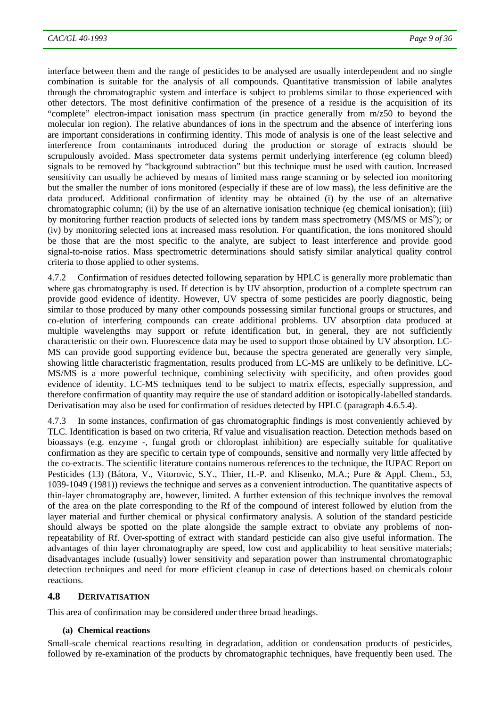<span id="page-8-0"></span>interface between them and the range of pesticides to be analysed are usually interdependent and no single combination is suitable for the analysis of all compounds. Quantitative transmission of labile analytes through the chromatographic system and interface is subject to problems similar to those experienced with other detectors. The most definitive confirmation of the presence of a residue is the acquisition of its "complete" electron-impact ionisation mass spectrum (in practice generally from m/z50 to beyond the molecular ion region). The relative abundances of ions in the spectrum and the absence of interfering ions are important considerations in confirming identity. This mode of analysis is one of the least selective and interference from contaminants introduced during the production or storage of extracts should be scrupulously avoided. Mass spectrometer data systems permit underlying interference (eg column bleed) signals to be removed by "background subtraction" but this technique must be used with caution. Increased sensitivity can usually be achieved by means of limited mass range scanning or by selected ion monitoring but the smaller the number of ions monitored (especially if these are of low mass), the less definitive are the data produced. Additional confirmation of identity may be obtained (i) by the use of an alternative chromatographic column; (ii) by the use of an alternative ionisation technique (eg chemical ionisation); (iii) by monitoring further reaction products of selected ions by tandem mass spectrometry (MS/MS or MS<sup>n</sup>); or (iv) by monitoring selected ions at increased mass resolution. For quantification, the ions monitored should be those that are the most specific to the analyte, are subject to least interference and provide good signal-to-noise ratios. Mass spectrometric determinations should satisfy similar analytical quality control criteria to those applied to other systems.

4.7.2 Confirmation of residues detected following separation by HPLC is generally more problematic than where gas chromatography is used. If detection is by UV absorption, production of a complete spectrum can provide good evidence of identity. However, UV spectra of some pesticides are poorly diagnostic, being similar to those produced by many other compounds possessing similar functional groups or structures, and co-elution of interfering compounds can create additional problems. UV absorption data produced at multiple wavelengths may support or refute identification but, in general, they are not sufficiently characteristic on their own. Fluorescence data may be used to support those obtained by UV absorption. LC-MS can provide good supporting evidence but, because the spectra generated are generally very simple, showing little characteristic fragmentation, results produced from LC-MS are unlikely to be definitive. LC-MS/MS is a more powerful technique, combining selectivity with specificity, and often provides good evidence of identity. LC-MS techniques tend to be subject to matrix effects, especially suppression, and therefore confirmation of quantity may require the use of standard addition or isotopically-labelled standards. Derivatisation may also be used for confirmation of residues detected by HPLC (paragraph 4.6.5.4).

4.7.3 In some instances, confirmation of gas chromatographic findings is most conveniently achieved by TLC. Identification is based on two criteria, Rf value and visualisation reaction. Detection methods based on bioassays (e.g. enzyme -, fungal groth or chloroplast inhibition) are especially suitable for qualitative confirmation as they are specific to certain type of compounds, sensitive and normally very little affected by the co-extracts. The scientific literature contains numerous references to the technique, the IUPAC Report on Pesticides (13) (Bátora, V., Vitorovic, S.Y., Thier, H.-P. and Klisenko, M.A.; Pure & Appl. Chem., 53, 1039-1049 (1981)) reviews the technique and serves as a convenient introduction. The quantitative aspects of thin-layer chromatography are, however, limited. A further extension of this technique involves the removal of the area on the plate corresponding to the Rf of the compound of interest followed by elution from the layer material and further chemical or physical confirmatory analysis. A solution of the standard pesticide should always be spotted on the plate alongside the sample extract to obviate any problems of nonrepeatability of Rf. Over-spotting of extract with standard pesticide can also give useful information. The advantages of thin layer chromatography are speed, low cost and applicability to heat sensitive materials; disadvantages include (usually) lower sensitivity and separation power than instrumental chromatographic detection techniques and need for more efficient cleanup in case of detections based on chemicals colour reactions.

#### **4.8 DERIVATISATION**

This area of confirmation may be considered under three broad headings.

#### **(a) Chemical reactions**

Small-scale chemical reactions resulting in degradation, addition or condensation products of pesticides, followed by re-examination of the products by chromatographic techniques, have frequently been used. The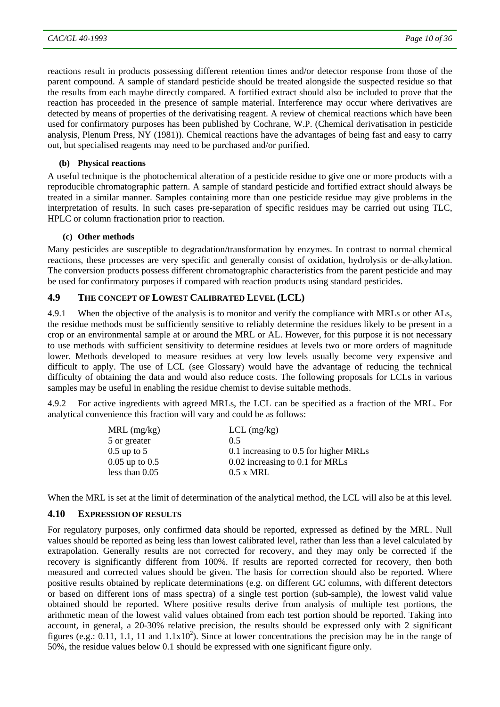<span id="page-9-0"></span>reactions result in products possessing different retention times and/or detector response from those of the parent compound. A sample of standard pesticide should be treated alongside the suspected residue so that the results from each maybe directly compared. A fortified extract should also be included to prove that the reaction has proceeded in the presence of sample material. Interference may occur where derivatives are detected by means of properties of the derivatising reagent. A review of chemical reactions which have been used for confirmatory purposes has been published by Cochrane, W.P. (Chemical derivatisation in pesticide analysis, Plenum Press, NY (1981)). Chemical reactions have the advantages of being fast and easy to carry out, but specialised reagents may need to be purchased and/or purified.

#### **(b) Physical reactions**

A useful technique is the photochemical alteration of a pesticide residue to give one or more products with a reproducible chromatographic pattern. A sample of standard pesticide and fortified extract should always be treated in a similar manner. Samples containing more than one pesticide residue may give problems in the interpretation of results. In such cases pre-separation of specific residues may be carried out using TLC, HPLC or column fractionation prior to reaction.

#### **(c) Other methods**

Many pesticides are susceptible to degradation/transformation by enzymes. In contrast to normal chemical reactions, these processes are very specific and generally consist of oxidation, hydrolysis or de-alkylation. The conversion products possess different chromatographic characteristics from the parent pesticide and may be used for confirmatory purposes if compared with reaction products using standard pesticides.

#### **4.9 THE CONCEPT OF LOWEST CALIBRATED LEVEL (LCL)**

4.9.1 When the objective of the analysis is to monitor and verify the compliance with MRLs or other ALs, the residue methods must be sufficiently sensitive to reliably determine the residues likely to be present in a crop or an environmental sample at or around the MRL or AL. However, for this purpose it is not necessary to use methods with sufficient sensitivity to determine residues at levels two or more orders of magnitude lower. Methods developed to measure residues at very low levels usually become very expensive and difficult to apply. The use of LCL (see Glossary) would have the advantage of reducing the technical difficulty of obtaining the data and would also reduce costs. The following proposals for LCLs in various samples may be useful in enabling the residue chemist to devise suitable methods.

4.9.2 For active ingredients with agreed MRLs, the LCL can be specified as a fraction of the MRL. For analytical convenience this fraction will vary and could be as follows:

| $MRL$ (mg/kg)      | $LCL$ (mg/kg)                         |
|--------------------|---------------------------------------|
| 5 or greater       | 0 <sub>5</sub>                        |
| $0.5$ up to 5      | 0.1 increasing to 0.5 for higher MRLs |
| $0.05$ up to $0.5$ | 0.02 increasing to 0.1 for MRLs       |
| less than $0.05$   | $0.5 \times MRL$                      |
|                    |                                       |

When the MRL is set at the limit of determination of the analytical method, the LCL will also be at this level.

#### **4.10 EXPRESSION OF RESULTS**

For regulatory purposes, only confirmed data should be reported, expressed as defined by the MRL. Null values should be reported as being less than lowest calibrated level, rather than less than a level calculated by extrapolation. Generally results are not corrected for recovery, and they may only be corrected if the recovery is significantly different from 100%. If results are reported corrected for recovery, then both measured and corrected values should be given. The basis for correction should also be reported. Where positive results obtained by replicate determinations (e.g. on different GC columns, with different detectors or based on different ions of mass spectra) of a single test portion (sub-sample), the lowest valid value obtained should be reported. Where positive results derive from analysis of multiple test portions, the arithmetic mean of the lowest valid values obtained from each test portion should be reported. Taking into account, in general, a 20-30% relative precision, the results should be expressed only with 2 significant figures (e.g.: 0.11, 1.1, 11 and  $1.1x10<sup>2</sup>$ ). Since at lower concentrations the precision may be in the range of 50%, the residue values below 0.1 should be expressed with one significant figure only.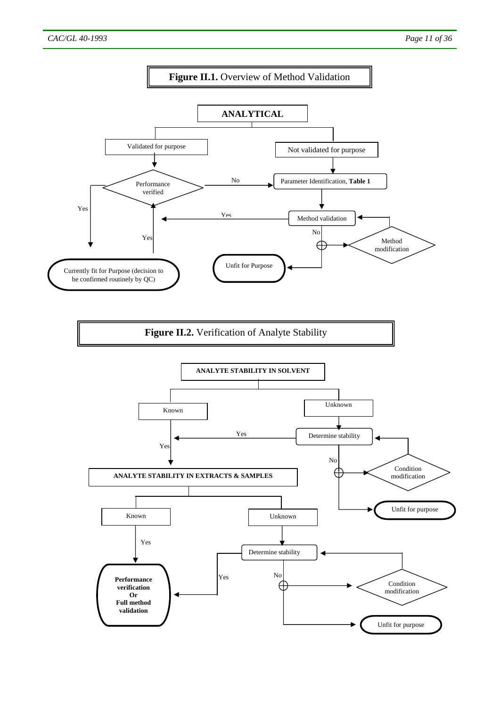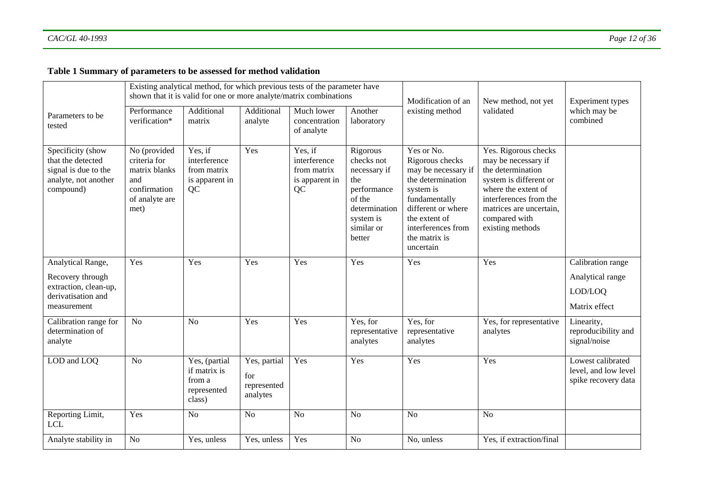# **Table 1 Summary of parameters to be assessed for method validation**

|                                                                                                     |                                                                                                | Existing analytical method, for which previous tests of the parameter have<br>shown that it is valid for one or more analyte/matrix combinations |                                                |                                                                | Modification of an                                                                                                           | New method, not yet                                                                                                                                                                                | <b>Experiment types</b>                                                                                                                                                                                     |                                                                   |
|-----------------------------------------------------------------------------------------------------|------------------------------------------------------------------------------------------------|--------------------------------------------------------------------------------------------------------------------------------------------------|------------------------------------------------|----------------------------------------------------------------|------------------------------------------------------------------------------------------------------------------------------|----------------------------------------------------------------------------------------------------------------------------------------------------------------------------------------------------|-------------------------------------------------------------------------------------------------------------------------------------------------------------------------------------------------------------|-------------------------------------------------------------------|
| Parameters to be.<br>tested                                                                         | Performance<br>verification*                                                                   | Additional<br>matrix                                                                                                                             | Additional<br>analyte                          | Much lower<br>concentration<br>of analyte                      | Another<br>laboratory                                                                                                        | existing method                                                                                                                                                                                    | validated                                                                                                                                                                                                   | which may be<br>combined                                          |
| Specificity (show<br>that the detected<br>signal is due to the<br>analyte, not another<br>compound) | No (provided<br>criteria for<br>matrix blanks<br>and<br>confirmation<br>of analyte are<br>met) | Yes, if<br>interference<br>from matrix<br>is apparent in<br>QC                                                                                   | Yes                                            | Yes, if<br>interference<br>from matrix<br>is apparent in<br>QC | Rigorous<br>checks not<br>necessary if<br>the<br>performance<br>of the<br>determination<br>system is<br>similar or<br>better | Yes or No.<br>Rigorous checks<br>may be necessary if<br>the determination<br>system is<br>fundamentally<br>different or where<br>the extent of<br>interferences from<br>the matrix is<br>uncertain | Yes. Rigorous checks<br>may be necessary if<br>the determination<br>system is different or<br>where the extent of<br>interferences from the<br>matrices are uncertain,<br>compared with<br>existing methods |                                                                   |
| Analytical Range,<br>Recovery through<br>extraction, clean-up,<br>derivatisation and<br>measurement | Yes                                                                                            | Yes                                                                                                                                              | Yes                                            | Yes                                                            | Yes                                                                                                                          | Yes                                                                                                                                                                                                | Yes                                                                                                                                                                                                         | Calibration range<br>Analytical range<br>LOD/LOQ<br>Matrix effect |
| Calibration range for<br>determination of<br>analyte                                                | N <sub>o</sub>                                                                                 | N <sub>o</sub>                                                                                                                                   | Yes                                            | Yes                                                            | Yes, for<br>representative<br>analytes                                                                                       | Yes, for<br>representative<br>analytes                                                                                                                                                             | Yes, for representative<br>analytes                                                                                                                                                                         | Linearity,<br>reproducibility and<br>signal/noise                 |
| LOD and LOQ                                                                                         | N <sub>o</sub>                                                                                 | Yes, (partial<br>if matrix is<br>from a<br>represented<br>class)                                                                                 | Yes, partial<br>for<br>represented<br>analytes | Yes                                                            | Yes                                                                                                                          | Yes                                                                                                                                                                                                | Yes                                                                                                                                                                                                         | Lowest calibrated<br>level, and low level<br>spike recovery data  |
| Reporting Limit,<br><b>LCL</b>                                                                      | Yes                                                                                            | N <sub>o</sub>                                                                                                                                   | N <sub>o</sub>                                 | N <sub>o</sub>                                                 | N <sub>o</sub>                                                                                                               | N <sub>o</sub>                                                                                                                                                                                     | N <sub>o</sub>                                                                                                                                                                                              |                                                                   |
| Analyte stability in                                                                                | N <sub>o</sub>                                                                                 | Yes, unless                                                                                                                                      | Yes, unless                                    | Yes                                                            | N <sub>o</sub>                                                                                                               | No, unless                                                                                                                                                                                         | Yes, if extraction/final                                                                                                                                                                                    |                                                                   |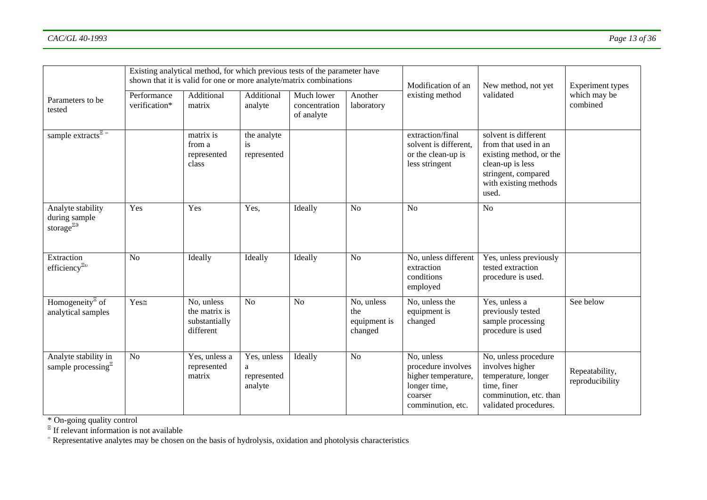|                                                                |                              | Existing analytical method, for which previous tests of the parameter have<br>shown that it is valid for one or more analyte/matrix combinations |                                            |                                           | Modification of an                           | New method, not yet                                                                                     | Experiment types                                                                                                                                     |                                   |
|----------------------------------------------------------------|------------------------------|--------------------------------------------------------------------------------------------------------------------------------------------------|--------------------------------------------|-------------------------------------------|----------------------------------------------|---------------------------------------------------------------------------------------------------------|------------------------------------------------------------------------------------------------------------------------------------------------------|-----------------------------------|
| Parameters to be<br>tested                                     | Performance<br>verification* | Additional<br>matrix                                                                                                                             | Additional<br>analyte                      | Much lower<br>concentration<br>of analyte | Another<br>laboratory                        | existing method                                                                                         | validated                                                                                                                                            | which may be<br>combined          |
| sample extracts <sup><math>\overline{z}</math></sup>           |                              | matrix is<br>from a<br>represented<br>class                                                                                                      | the analyte<br>is<br>represented           |                                           |                                              | extraction/final<br>solvent is different,<br>or the clean-up is<br>less stringent                       | solvent is different<br>from that used in an<br>existing method, or the<br>clean-up is less<br>stringent, compared<br>with existing methods<br>used. |                                   |
| Analyte stability<br>during sample<br>storage $e^{E.9}$        | Yes                          | Yes                                                                                                                                              | Yes,                                       | Ideally                                   | N <sub>o</sub>                               | N <sub>o</sub>                                                                                          | N <sub>o</sub>                                                                                                                                       |                                   |
| Extraction<br>efficiency $\Xi$ <sup>0</sup>                    | N <sub>o</sub>               | Ideally                                                                                                                                          | Ideally                                    | Ideally                                   | N <sub>o</sub>                               | No, unless different<br>extraction<br>conditions<br>employed                                            | Yes, unless previously<br>tested extraction<br>procedure is used.                                                                                    |                                   |
| Homogeneity <sup><math>E</math></sup> of<br>analytical samples | $Yes \cong$                  | No, unless<br>the matrix is<br>substantially<br>different                                                                                        | No                                         | N <sub>o</sub>                            | No, unless<br>the<br>equipment is<br>changed | No, unless the<br>equipment is<br>changed                                                               | Yes, unless a<br>previously tested<br>sample processing<br>procedure is used                                                                         | See below                         |
| Analyte stability in<br>sample processing $E$                  | N <sub>o</sub>               | Yes, unless a<br>represented<br>matrix                                                                                                           | Yes, unless<br>a<br>represented<br>analyte | Ideally                                   | No                                           | No, unless<br>procedure involves<br>higher temperature,<br>longer time,<br>coarser<br>comminution, etc. | No, unless procedure<br>involves higher<br>temperature, longer<br>time, finer<br>comminution, etc. than<br>validated procedures.                     | Repeatability,<br>reproducibility |

\* On-going quality control

 $E$  If relevant information is not available

= Representative analytes may be chosen on the basis of hydrolysis, oxidation and photolysis characteristics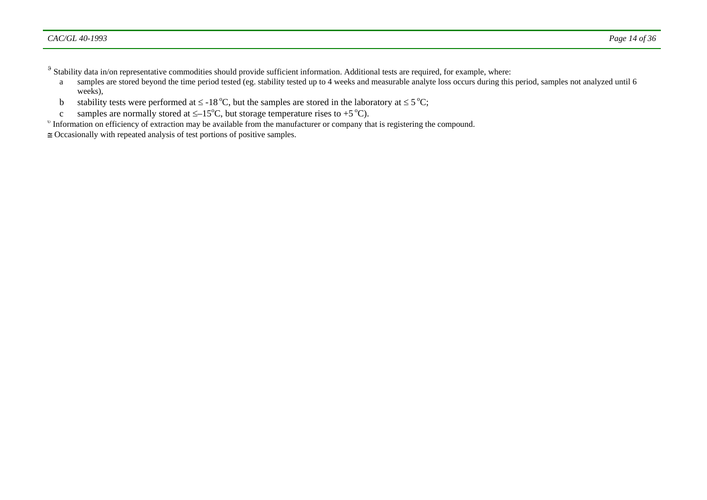$\delta$  Stability data in/on representative commodities should provide sufficient information. Additional tests are required, for example, where:

- a samples are stored beyond the time period tested (eg. stability tested up to 4 weeks and measurable analyte loss occurs during this period, samples not analyzed until 6 weeks),
- b stability tests were performed at  $\leq$  -18 °C, but the samples are stored in the laboratory at  $\leq$  5 °C;
- c samples are normally stored at  $\leq -15^{\circ}$ C, but storage temperature rises to +5  $^{\circ}$ C).
- <sup>υ</sup> Information on efficiency of extraction may be available from the manufacturer or company that is registering the compound.
- ≅ Occasionally with repeated analysis of test portions of positive samples.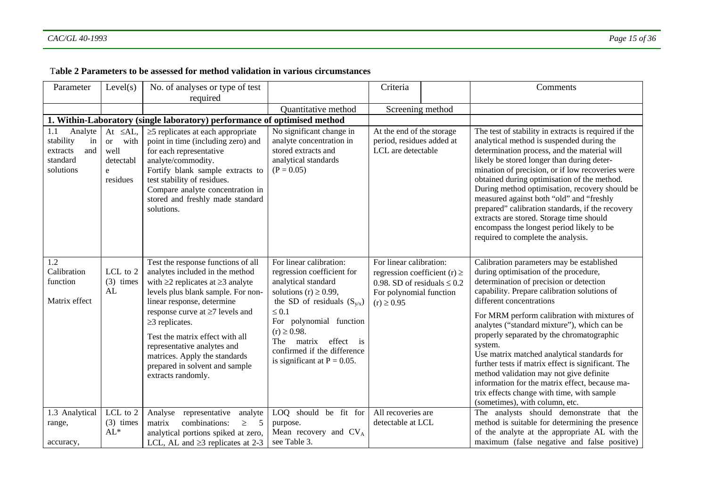#### T**able 2 Parameters to be assessed for method validation in various circumstances**

| Parameter                                                                     | Level(s)                                                                             | No. of analyses or type of test                                                                                                                                                                                                                                                                                                                                                                                       |                                                                                                                                                                                                                                                                                                        | Criteria                                                                                                                                     |  | Comments                                                                                                                                                                                                                                                                                                                                                                                                                                                                                                                                                                                                                                           |
|-------------------------------------------------------------------------------|--------------------------------------------------------------------------------------|-----------------------------------------------------------------------------------------------------------------------------------------------------------------------------------------------------------------------------------------------------------------------------------------------------------------------------------------------------------------------------------------------------------------------|--------------------------------------------------------------------------------------------------------------------------------------------------------------------------------------------------------------------------------------------------------------------------------------------------------|----------------------------------------------------------------------------------------------------------------------------------------------|--|----------------------------------------------------------------------------------------------------------------------------------------------------------------------------------------------------------------------------------------------------------------------------------------------------------------------------------------------------------------------------------------------------------------------------------------------------------------------------------------------------------------------------------------------------------------------------------------------------------------------------------------------------|
|                                                                               |                                                                                      | required                                                                                                                                                                                                                                                                                                                                                                                                              |                                                                                                                                                                                                                                                                                                        |                                                                                                                                              |  |                                                                                                                                                                                                                                                                                                                                                                                                                                                                                                                                                                                                                                                    |
|                                                                               |                                                                                      |                                                                                                                                                                                                                                                                                                                                                                                                                       | <b>Ouantitative method</b>                                                                                                                                                                                                                                                                             | Screening method                                                                                                                             |  |                                                                                                                                                                                                                                                                                                                                                                                                                                                                                                                                                                                                                                                    |
|                                                                               |                                                                                      | 1. Within-Laboratory (single laboratory) performance of optimised method                                                                                                                                                                                                                                                                                                                                              |                                                                                                                                                                                                                                                                                                        |                                                                                                                                              |  |                                                                                                                                                                                                                                                                                                                                                                                                                                                                                                                                                                                                                                                    |
| 1.1<br>Analyte<br>stability<br>in<br>extracts<br>and<br>standard<br>solutions | At $\leq$ AL,<br><sub>or</sub><br>with<br>well<br>detectabl<br>${\bf e}$<br>residues | $\geq$ 5 replicates at each appropriate<br>point in time (including zero) and<br>for each representative<br>analyte/commodity.<br>Fortify blank sample extracts to<br>test stability of residues.<br>Compare analyte concentration in<br>stored and freshly made standard<br>solutions.                                                                                                                               | No significant change in<br>analyte concentration in<br>stored extracts and<br>analytical standards<br>$(P = 0.05)$                                                                                                                                                                                    | At the end of the storage<br>period, residues added at<br>LCL are detectable                                                                 |  | The test of stability in extracts is required if the<br>analytical method is suspended during the<br>determination process, and the material will<br>likely be stored longer than during deter-<br>mination of precision, or if low recoveries were<br>obtained during optimisation of the method.<br>During method optimisation, recovery should be<br>measured against both "old" and "freshly<br>prepared" calibration standards, if the recovery<br>extracts are stored. Storage time should<br>encompass the longest period likely to be<br>required to complete the analysis.                                                                |
| 1.2<br>Calibration<br>function<br>Matrix effect                               | LCL to 2<br>$(3)$ times<br>AL                                                        | Test the response functions of all<br>analytes included in the method<br>with $\geq$ 2 replicates at $\geq$ 3 analyte<br>levels plus blank sample. For non-<br>linear response, determine<br>response curve at $\geq 7$ levels and<br>$\geq$ 3 replicates.<br>Test the matrix effect with all<br>representative analytes and<br>matrices. Apply the standards<br>prepared in solvent and sample<br>extracts randomly. | For linear calibration:<br>regression coefficient for<br>analytical standard<br>solutions (r) $\geq$ 0.99,<br>the SD of residuals $(S_{y/x})$<br>$\leq 0.1$<br>For polynomial function<br>$(r) \ge 0.98$ .<br>matrix effect is<br>The<br>confirmed if the difference<br>is significant at $P = 0.05$ . | For linear calibration:<br>regression coefficient (r) $\ge$<br>0.98. SD of residuals $\leq 0.2$<br>For polynomial function<br>$(r) \ge 0.95$ |  | Calibration parameters may be established<br>during optimisation of the procedure,<br>determination of precision or detection<br>capability. Prepare calibration solutions of<br>different concentrations<br>For MRM perform calibration with mixtures of<br>analytes ("standard mixture"), which can be<br>properly separated by the chromatographic<br>system.<br>Use matrix matched analytical standards for<br>further tests if matrix effect is significant. The<br>method validation may not give definite<br>information for the matrix effect, because ma-<br>trix effects change with time, with sample<br>(sometimes), with column, etc. |
| 1.3 Analytical<br>range,<br>accuracy,                                         | LCL to 2<br>$(3)$ times<br>$AL^*$                                                    | Analyse<br>representative<br>analyte<br>combinations:<br>$\geq$<br>5<br>matrix<br>analytical portions spiked at zero,<br>LCL, AL and $\geq$ 3 replicates at 2-3                                                                                                                                                                                                                                                       | LOQ should be fit for<br>purpose.<br>Mean recovery and $CV_A$<br>see Table 3.                                                                                                                                                                                                                          | All recoveries are<br>detectable at LCL                                                                                                      |  | The analysts should demonstrate that the<br>method is suitable for determining the presence<br>of the analyte at the appropriate AL with the<br>maximum (false negative and false positive)                                                                                                                                                                                                                                                                                                                                                                                                                                                        |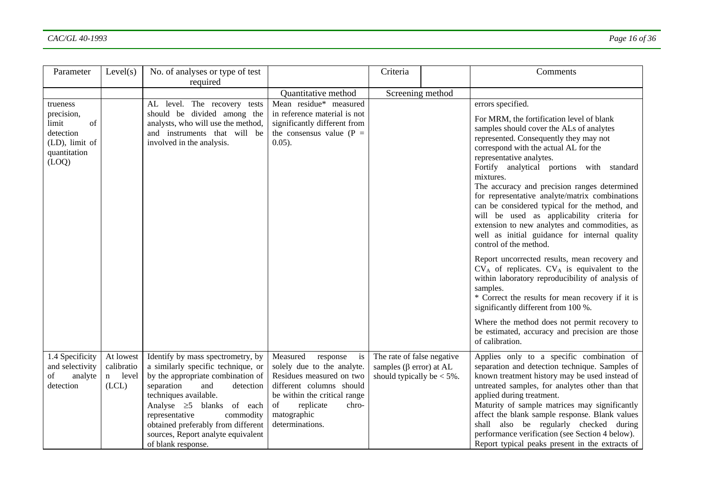| Parameter                                                                                     | Level(s)                                    | No. of analyses or type of test<br>required                                                                                                                                                                                                                                                                                                 |                                                                                                                                                                                                                | Criteria                                                                                      | Comments                                                                                                                                                                                                                                                                                                                                                                                                                                                                                                                                                                                                                                                                                                                                                                                                                                                                                                                                                                                               |
|-----------------------------------------------------------------------------------------------|---------------------------------------------|---------------------------------------------------------------------------------------------------------------------------------------------------------------------------------------------------------------------------------------------------------------------------------------------------------------------------------------------|----------------------------------------------------------------------------------------------------------------------------------------------------------------------------------------------------------------|-----------------------------------------------------------------------------------------------|--------------------------------------------------------------------------------------------------------------------------------------------------------------------------------------------------------------------------------------------------------------------------------------------------------------------------------------------------------------------------------------------------------------------------------------------------------------------------------------------------------------------------------------------------------------------------------------------------------------------------------------------------------------------------------------------------------------------------------------------------------------------------------------------------------------------------------------------------------------------------------------------------------------------------------------------------------------------------------------------------------|
|                                                                                               |                                             |                                                                                                                                                                                                                                                                                                                                             | Quantitative method                                                                                                                                                                                            | Screening method                                                                              |                                                                                                                                                                                                                                                                                                                                                                                                                                                                                                                                                                                                                                                                                                                                                                                                                                                                                                                                                                                                        |
| trueness<br>precision,<br>limit<br>of<br>detection<br>(LD), limit of<br>quantitation<br>(LOQ) |                                             | AL level. The recovery tests<br>should be divided among the<br>analysts, who will use the method,<br>and instruments that will be<br>involved in the analysis.                                                                                                                                                                              | Mean residue* measured<br>in reference material is not<br>significantly different from<br>the consensus value ( $P =$<br>$0.05$ ).                                                                             |                                                                                               | errors specified.<br>For MRM, the fortification level of blank<br>samples should cover the ALs of analytes<br>represented. Consequently they may not<br>correspond with the actual AL for the<br>representative analytes.<br>Fortify analytical portions with standard<br>mixtures.<br>The accuracy and precision ranges determined<br>for representative analyte/matrix combinations<br>can be considered typical for the method, and<br>will be used as applicability criteria for<br>extension to new analytes and commodities, as<br>well as initial guidance for internal quality<br>control of the method.<br>Report uncorrected results, mean recovery and<br>$CV_A$ of replicates. $CV_A$ is equivalent to the<br>within laboratory reproducibility of analysis of<br>samples.<br>* Correct the results for mean recovery if it is<br>significantly different from 100 %.<br>Where the method does not permit recovery to<br>be estimated, accuracy and precision are those<br>of calibration. |
| 1.4 Specificity<br>and selectivity<br>of<br>analyte<br>detection                              | At lowest<br>calibratio<br>n level<br>(LCL) | Identify by mass spectrometry, by<br>a similarly specific technique, or<br>by the appropriate combination of<br>separation<br>and<br>detection<br>techniques available.<br>Analyse $\geq$ 5 blanks of each<br>representative<br>commodity<br>obtained preferably from different<br>sources, Report analyte equivalent<br>of blank response. | Measured<br>response<br>is<br>solely due to the analyte.<br>Residues measured on two<br>different columns should<br>be within the critical range<br>of<br>replicate<br>chro-<br>matographic<br>determinations. | The rate of false negative<br>samples ( $\beta$ error) at AL<br>should typically be $< 5\%$ . | Applies only to a specific combination of<br>separation and detection technique. Samples of<br>known treatment history may be used instead of<br>untreated samples, for analytes other than that<br>applied during treatment.<br>Maturity of sample matrices may significantly<br>affect the blank sample response. Blank values<br>shall also be regularly checked during<br>performance verification (see Section 4 below).<br>Report typical peaks present in the extracts of                                                                                                                                                                                                                                                                                                                                                                                                                                                                                                                       |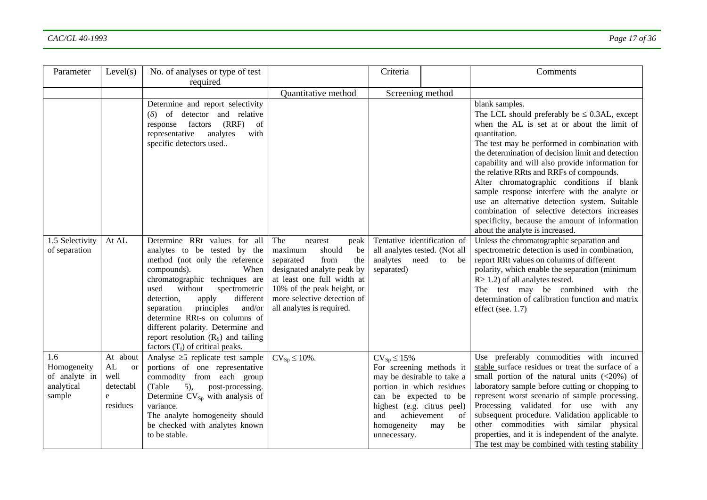| Parameter                                                   | Level(s)                                                                      | No. of analyses or type of test<br>required                                                                                                                                                                                                                                                                                                                                                                               |                                                                                                                                                                                                                                     | Criteria                                                                                                                                     |                                                                                          | Comments                                                                                                                                                                                                                                                                                                                                                                                                                                                                                                                                                                                                                       |
|-------------------------------------------------------------|-------------------------------------------------------------------------------|---------------------------------------------------------------------------------------------------------------------------------------------------------------------------------------------------------------------------------------------------------------------------------------------------------------------------------------------------------------------------------------------------------------------------|-------------------------------------------------------------------------------------------------------------------------------------------------------------------------------------------------------------------------------------|----------------------------------------------------------------------------------------------------------------------------------------------|------------------------------------------------------------------------------------------|--------------------------------------------------------------------------------------------------------------------------------------------------------------------------------------------------------------------------------------------------------------------------------------------------------------------------------------------------------------------------------------------------------------------------------------------------------------------------------------------------------------------------------------------------------------------------------------------------------------------------------|
|                                                             |                                                                               |                                                                                                                                                                                                                                                                                                                                                                                                                           | Quantitative method                                                                                                                                                                                                                 | Screening method                                                                                                                             |                                                                                          |                                                                                                                                                                                                                                                                                                                                                                                                                                                                                                                                                                                                                                |
|                                                             |                                                                               | Determine and report selectivity<br>of detector and relative<br>$(\delta)$<br>(RRF)<br>factors<br>of<br>response<br>representative<br>analytes<br>with<br>specific detectors used                                                                                                                                                                                                                                         |                                                                                                                                                                                                                                     |                                                                                                                                              |                                                                                          | blank samples.<br>The LCL should preferably be $\leq 0.3$ AL, except<br>when the AL is set at or about the limit of<br>quantitation.<br>The test may be performed in combination with<br>the determination of decision limit and detection<br>capability and will also provide information for<br>the relative RRts and RRFs of compounds.<br>Alter chromatographic conditions if blank<br>sample response interfere with the analyte or<br>use an alternative detection system. Suitable<br>combination of selective detectors increases<br>specificity, because the amount of information<br>about the analyte is increased. |
| 1.5 Selectivity<br>of separation                            | At AL                                                                         | Determine RRt values for all<br>analytes to be tested by the<br>method (not only the reference<br>compounds).<br>When<br>chromatographic techniques are<br>used<br>without<br>spectrometric<br>different<br>detection,<br>apply<br>principles<br>and/or<br>separation<br>determine RRt-s on columns of<br>different polarity. Determine and<br>report resolution $(RS)$ and tailing<br>factors $(T_f)$ of critical peaks. | The<br>nearest<br>peak<br>maximum<br>should<br>be<br>separated<br>from<br>the<br>designated analyte peak by<br>at least one full width at<br>10% of the peak height, or<br>more selective detection of<br>all analytes is required. | Tentative identification of<br>all analytes tested. (Not all<br>analytes<br>need<br>separated)                                               | to<br>be                                                                                 | Unless the chromatographic separation and<br>spectrometric detection is used in combination,<br>report RRt values on columns of different<br>polarity, which enable the separation (minimum<br>$R \ge 1.2$ ) of all analytes tested.<br>The test may be combined with the<br>determination of calibration function and matrix<br>effect (see. 1.7)                                                                                                                                                                                                                                                                             |
| 1.6<br>Homogeneity<br>of analyte in<br>analytical<br>sample | At about<br>${\rm AL}$<br><sub>or</sub><br>well<br>detectabl<br>e<br>residues | Analyse $\geq$ 5 replicate test sample<br>portions of one representative<br>commodity from each group<br>$5)$ ,<br>(Table<br>post-processing.<br>Determine $CV_{Sp}$ with analysis of<br>variance.<br>The analyte homogeneity should<br>be checked with analytes known<br>to be stable.                                                                                                                                   | $CV_{Sp} \leq 10\%$ .                                                                                                                                                                                                               | $CV_{Sp} \le 15\%$<br>portion in which residues<br>can be expected to be<br>highest (e.g. citrus peel)<br>and<br>homogeneity<br>unnecessary. | For screening methods it<br>may be desirable to take a<br>achievement<br>of<br>be<br>may | Use preferably commodities with incurred<br>stable surface residues or treat the surface of a<br>small portion of the natural units $(<20\%)$ of<br>laboratory sample before cutting or chopping to<br>represent worst scenario of sample processing.<br>Processing validated for use with any<br>subsequent procedure. Validation applicable to<br>other commodities with similar physical<br>properties, and it is independent of the analyte.<br>The test may be combined with testing stability                                                                                                                            |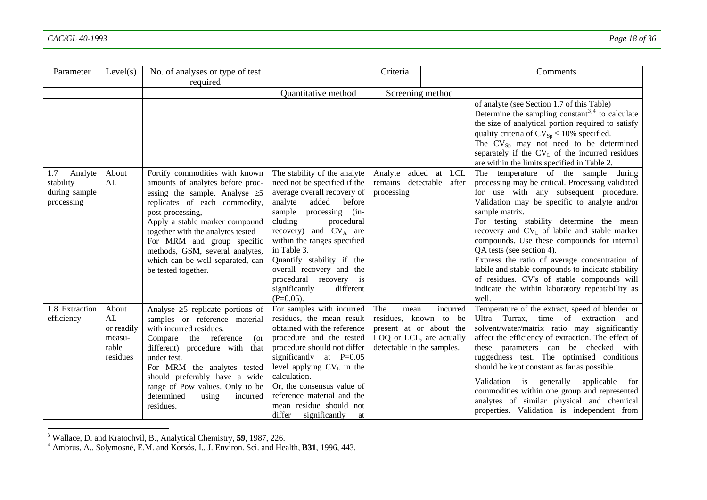| Parameter      | Level(s)   | No. of analyses or type of test        |                               | Criteria                   |          | Comments                                                    |
|----------------|------------|----------------------------------------|-------------------------------|----------------------------|----------|-------------------------------------------------------------|
|                |            | required                               |                               |                            |          |                                                             |
|                |            |                                        | Quantitative method           | Screening method           |          |                                                             |
|                |            |                                        |                               |                            |          | of analyte (see Section 1.7 of this Table)                  |
|                |            |                                        |                               |                            |          | Determine the sampling constant <sup>3,4</sup> to calculate |
|                |            |                                        |                               |                            |          | the size of analytical portion required to satisfy          |
|                |            |                                        |                               |                            |          | quality criteria of $CV_{Sp} \le 10\%$ specified.           |
|                |            |                                        |                               |                            |          | The $CV_{Sp}$ may not need to be determined                 |
|                |            |                                        |                               |                            |          | separately if the $CV_L$ of the incurred residues           |
|                |            |                                        |                               |                            |          | are within the limits specified in Table 2.                 |
| 1.7<br>Analyte | About      | Fortify commodities with known         | The stability of the analyte  | Analyte added at LCL       |          | The temperature of the sample<br>during                     |
| stability      | AL         | amounts of analytes before proc-       | need not be specified if the  | remains detectable after   |          | processing may be critical. Processing validated            |
| during sample  |            | essing the sample. Analyse $\geq 5$    | average overall recovery of   | processing                 |          | for use with any subsequent procedure.                      |
| processing     |            | replicates of each commodity,          | analyte<br>added<br>before    |                            |          | Validation may be specific to analyte and/or                |
|                |            | post-processing,                       | sample processing (in-        |                            |          | sample matrix.                                              |
|                |            | Apply a stable marker compound         | cluding<br>procedural         |                            |          | For testing stability determine the mean                    |
|                |            | together with the analytes tested      | recovery) and $CV_A$ are      |                            |          | recovery and $CV_L$ of labile and stable marker             |
|                |            | For MRM and group specific             | within the ranges specified   |                            |          | compounds. Use these compounds for internal                 |
|                |            | methods, GSM, several analytes,        | in Table 3.                   |                            |          | QA tests (see section 4).                                   |
|                |            | which can be well separated, can       | Quantify stability if the     |                            |          | Express the ratio of average concentration of               |
|                |            | be tested together.                    | overall recovery and the      |                            |          | labile and stable compounds to indicate stability           |
|                |            |                                        | procedural recovery is        |                            |          | of residues. CV's of stable compounds will                  |
|                |            |                                        | significantly<br>different    |                            |          | indicate the within laboratory repeatability as             |
|                |            |                                        | $(P=0.05)$ .                  |                            |          | well.                                                       |
| 1.8 Extraction | About      | Analyse $\geq$ 5 replicate portions of | For samples with incurred     | The<br>mean                | incurred | Temperature of the extract, speed of blender or             |
| efficiency     | AL         | samples or reference material          | residues, the mean result     | residues, known to be      |          | Ultra Turrax,<br>time of extraction and                     |
|                | or readily | with incurred residues.                | obtained with the reference   | present at or about the    |          | solvent/water/matrix ratio may significantly                |
|                | measu-     | Compare the reference<br>(or           | procedure and the tested      | LOQ or LCL, are actually   |          | affect the efficiency of extraction. The effect of          |
|                | rable      | different) procedure with that         | procedure should not differ   | detectable in the samples. |          | these parameters can be checked with                        |
|                | residues   | under test.                            | significantly at $P=0.05$     |                            |          | ruggedness test. The optimised conditions                   |
|                |            | For MRM the analytes tested            | level applying $CV_L$ in the  |                            |          | should be kept constant as far as possible.                 |
|                |            | should preferably have a wide          | calculation.                  |                            |          | generally<br>applicable<br>Validation is<br>for             |
|                |            | range of Pow values. Only to be        | Or, the consensus value of    |                            |          | commodities within one group and represented                |
|                |            | determined<br>using<br>incurred        | reference material and the    |                            |          | analytes of similar physical and chemical                   |
|                |            | residues.                              | mean residue should not       |                            |          | properties. Validation is independent from                  |
|                |            |                                        | differ<br>significantly<br>at |                            |          |                                                             |

<span id="page-17-0"></span><sup>3</sup> Wallace, D. and Kratochvil, B., Analytical Chemistry, **<sup>59</sup>**, 1987, 226.

<span id="page-17-1"></span><sup>4</sup> Ambrus, A., Solymosné, E.M. and Korsós, I., J. Environ. Sci. and Health, **B31**, 1996, 443.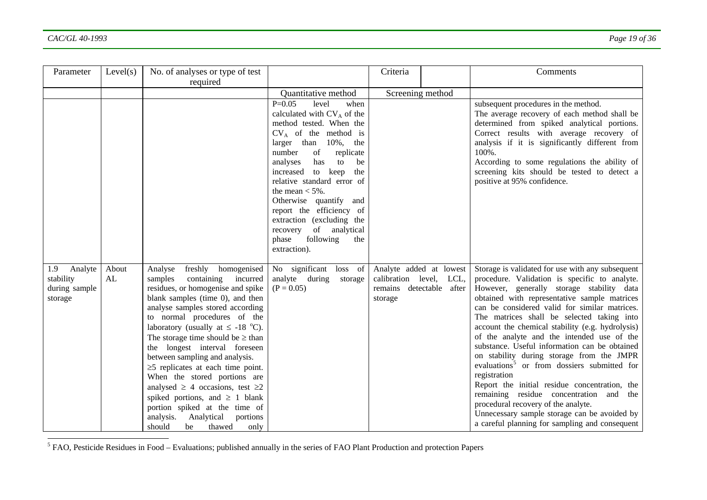| Parameter                  | Level(s) | No. of analyses or type of test                                        |                                           | Criteria                                            | Comments                                                                                       |
|----------------------------|----------|------------------------------------------------------------------------|-------------------------------------------|-----------------------------------------------------|------------------------------------------------------------------------------------------------|
|                            |          | required                                                               |                                           |                                                     |                                                                                                |
|                            |          |                                                                        | Quantitative method                       | Screening method                                    |                                                                                                |
|                            |          |                                                                        | $P=0.05$<br>level<br>when                 |                                                     | subsequent procedures in the method.                                                           |
|                            |          |                                                                        | calculated with CV <sub>A</sub> of the    |                                                     | The average recovery of each method shall be                                                   |
|                            |          |                                                                        | method tested. When the                   |                                                     | determined from spiked analytical portions.                                                    |
|                            |          |                                                                        | $CV_A$ of the method is                   |                                                     | Correct results with average recovery of                                                       |
|                            |          |                                                                        | larger than 10%, the<br>number<br>of      |                                                     | analysis if it is significantly different from<br>100%.                                        |
|                            |          |                                                                        | replicate<br>has<br>be<br>analyses<br>to  |                                                     | According to some regulations the ability of                                                   |
|                            |          |                                                                        | increased<br>to keep<br>the               |                                                     | screening kits should be tested to detect a                                                    |
|                            |          |                                                                        | relative standard error of                |                                                     | positive at 95% confidence.                                                                    |
|                            |          |                                                                        | the mean $<$ 5%.                          |                                                     |                                                                                                |
|                            |          |                                                                        | Otherwise quantify<br>and                 |                                                     |                                                                                                |
|                            |          |                                                                        | report the efficiency of                  |                                                     |                                                                                                |
|                            |          |                                                                        | extraction (excluding the                 |                                                     |                                                                                                |
|                            |          |                                                                        | recovery of analytical                    |                                                     |                                                                                                |
|                            |          |                                                                        | phase<br>following<br>the                 |                                                     |                                                                                                |
|                            |          |                                                                        | extraction).                              |                                                     |                                                                                                |
|                            |          |                                                                        |                                           |                                                     |                                                                                                |
| 1.9<br>Analyte             | About    | freshly<br>Analyse<br>homogenised                                      | No significant loss of                    | Analyte added at lowest                             | Storage is validated for use with any subsequent                                               |
| stability<br>during sample | AL       | samples<br>containing<br>incurred<br>residues, or homogenise and spike | analyte during<br>storage<br>$(P = 0.05)$ | calibration level, LCL,<br>remains detectable after | procedure. Validation is specific to analyte.<br>However, generally storage stability data     |
| storage                    |          | blank samples (time 0), and then                                       |                                           | storage                                             | obtained with representative sample matrices                                                   |
|                            |          | analyse samples stored according                                       |                                           |                                                     | can be considered valid for similar matrices.                                                  |
|                            |          | to normal procedures of the                                            |                                           |                                                     | The matrices shall be selected taking into                                                     |
|                            |          | laboratory (usually at $\leq$ -18 °C).                                 |                                           |                                                     | account the chemical stability (e.g. hydrolysis)                                               |
|                            |          | The storage time should be $\geq$ than                                 |                                           |                                                     | of the analyte and the intended use of the                                                     |
|                            |          | the longest interval foreseen                                          |                                           |                                                     | substance. Useful information can be obtained                                                  |
|                            |          | between sampling and analysis.                                         |                                           |                                                     | on stability during storage from the JMPR                                                      |
|                            |          | $\geq$ 5 replicates at each time point.                                |                                           |                                                     | evaluations <sup>5</sup> or from dossiers submitted for                                        |
|                            |          | When the stored portions are                                           |                                           |                                                     | registration                                                                                   |
|                            |          | analysed $\geq$ 4 occasions, test $\geq$ 2                             |                                           |                                                     | Report the initial residue concentration, the                                                  |
|                            |          | spiked portions, and $\geq 1$ blank                                    |                                           |                                                     | remaining residue concentration and the                                                        |
|                            |          | portion spiked at the time of                                          |                                           |                                                     | procedural recovery of the analyte.                                                            |
|                            |          | Analytical<br>analysis.<br>portions                                    |                                           |                                                     | Unnecessary sample storage can be avoided by<br>a careful planning for sampling and consequent |
|                            |          | should<br>be<br>thawed<br>only                                         |                                           |                                                     |                                                                                                |

<span id="page-18-0"></span> $\overline{\text{5 FAO}}$ , Pesticide Residues in Food – Evaluations; published annually in the series of FAO Plant Production and protection Papers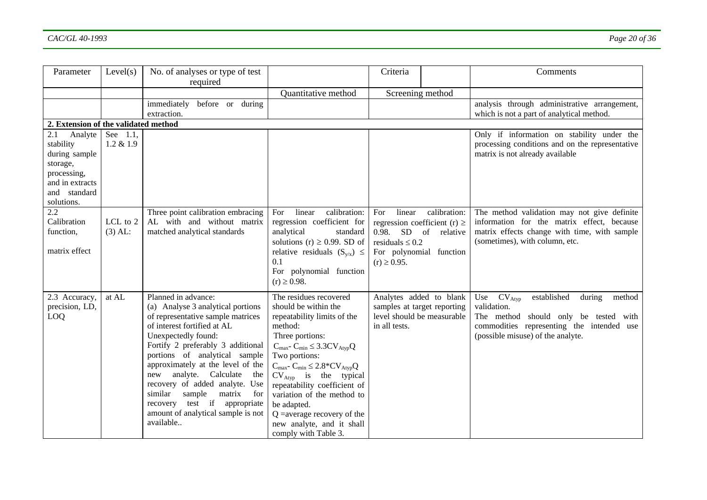| Parameter                                                                                                                | Level(s)                 | No. of analyses or type of test<br>required                                                                                                                                                                                                                                                                                                                                                                                                                   |                                                                                                                                                                                                                                                                                                                                                                                                                                                                      | Criteria                                                                                                                                         |              | Comments                                                                                                                                                                                        |
|--------------------------------------------------------------------------------------------------------------------------|--------------------------|---------------------------------------------------------------------------------------------------------------------------------------------------------------------------------------------------------------------------------------------------------------------------------------------------------------------------------------------------------------------------------------------------------------------------------------------------------------|----------------------------------------------------------------------------------------------------------------------------------------------------------------------------------------------------------------------------------------------------------------------------------------------------------------------------------------------------------------------------------------------------------------------------------------------------------------------|--------------------------------------------------------------------------------------------------------------------------------------------------|--------------|-------------------------------------------------------------------------------------------------------------------------------------------------------------------------------------------------|
|                                                                                                                          |                          |                                                                                                                                                                                                                                                                                                                                                                                                                                                               | Quantitative method                                                                                                                                                                                                                                                                                                                                                                                                                                                  | Screening method                                                                                                                                 |              |                                                                                                                                                                                                 |
|                                                                                                                          |                          | immediately<br>before or<br>during<br>extraction.                                                                                                                                                                                                                                                                                                                                                                                                             |                                                                                                                                                                                                                                                                                                                                                                                                                                                                      |                                                                                                                                                  |              | analysis through administrative arrangement,<br>which is not a part of analytical method.                                                                                                       |
| 2. Extension of the validated method                                                                                     |                          |                                                                                                                                                                                                                                                                                                                                                                                                                                                               |                                                                                                                                                                                                                                                                                                                                                                                                                                                                      |                                                                                                                                                  |              |                                                                                                                                                                                                 |
| 2.1<br>Analyte<br>stability<br>during sample<br>storage,<br>processing,<br>and in extracts<br>and standard<br>solutions. | See 1.1,<br>$1.2 \& 1.9$ |                                                                                                                                                                                                                                                                                                                                                                                                                                                               |                                                                                                                                                                                                                                                                                                                                                                                                                                                                      |                                                                                                                                                  |              | Only if information on stability under the<br>processing conditions and on the representative<br>matrix is not already available                                                                |
| 2.2<br>Calibration<br>function,<br>matrix effect                                                                         | LCL to 2<br>$(3)$ AL:    | Three point calibration embracing<br>AL with and without matrix<br>matched analytical standards                                                                                                                                                                                                                                                                                                                                                               | calibration:<br>For<br>linear<br>regression coefficient for<br>analytical<br>standard<br>solutions (r) $\geq$ 0.99. SD of<br>relative residuals $(S_{v/x}) \leq$<br>0.1<br>For polynomial function<br>$(r) \ge 0.98$ .                                                                                                                                                                                                                                               | For<br>linear<br>regression coefficient (r) $\ge$<br>0.98. SD of relative<br>residuals $\leq 0.2$<br>For polynomial function<br>$(r) \ge 0.95$ . | calibration: | The method validation may not give definite<br>information for the matrix effect, because<br>matrix effects change with time, with sample<br>(sometimes), with column, etc.                     |
| 2.3 Accuracy,<br>precision, LD,<br>LOQ                                                                                   | at AL                    | Planned in advance:<br>(a) Analyse 3 analytical portions<br>of representative sample matrices<br>of interest fortified at AL<br>Unexpectedly found:<br>Fortify 2 preferably 3 additional<br>portions of analytical sample<br>approximately at the level of the<br>analyte. Calculate<br>new<br>the<br>recovery of added analyte. Use<br>similar<br>sample<br>matrix<br>for<br>recovery test if appropriate<br>amount of analytical sample is not<br>available | The residues recovered<br>should be within the<br>repeatability limits of the<br>method:<br>Three portions:<br>$C_{\text{max}}$ - $C_{\text{min}} \leq 3.3CV_{\text{Atyp}}Q$<br>Two portions:<br>$C_{\text{max}}$ - $C_{\text{min}} \leq 2.8$ * $CV_{\text{Atyp}}Q$<br>$CV_{Atvp}$ is the typical<br>repeatability coefficient of<br>variation of the method to<br>be adapted.<br>$Q$ = average recovery of the<br>new analyte, and it shall<br>comply with Table 3. | Analytes added to blank<br>samples at target reporting<br>level should be measurable<br>in all tests.                                            |              | established<br>during<br>Use<br>$CV_{Atyp}$<br>method<br>validation.<br>The method should only be tested with<br>commodities representing the intended use<br>(possible misuse) of the analyte. |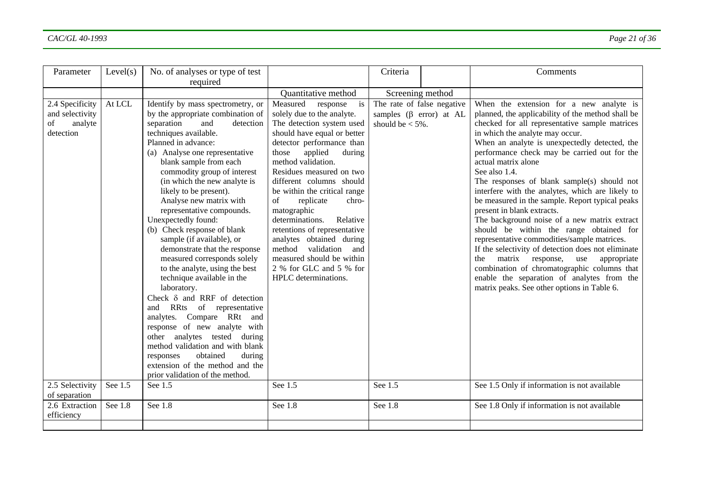| Parameter                                                        | Level(s) | No. of analyses or type of test<br>required                                                                                                                                                                                                                                                                                                                                                                                                                                                                                                                                                                                                                                                                                                                                                                                                                                                                               |                                                                                                                                                                                                                                                                                                                                                                                                                                                                                                                                                    | Criteria                                                                         | Comments                                                                                                                                                                                                                                                                                                                                                                                                                                                                                                                                                                                                                                                                                                                                                                                                                                                                                                 |
|------------------------------------------------------------------|----------|---------------------------------------------------------------------------------------------------------------------------------------------------------------------------------------------------------------------------------------------------------------------------------------------------------------------------------------------------------------------------------------------------------------------------------------------------------------------------------------------------------------------------------------------------------------------------------------------------------------------------------------------------------------------------------------------------------------------------------------------------------------------------------------------------------------------------------------------------------------------------------------------------------------------------|----------------------------------------------------------------------------------------------------------------------------------------------------------------------------------------------------------------------------------------------------------------------------------------------------------------------------------------------------------------------------------------------------------------------------------------------------------------------------------------------------------------------------------------------------|----------------------------------------------------------------------------------|----------------------------------------------------------------------------------------------------------------------------------------------------------------------------------------------------------------------------------------------------------------------------------------------------------------------------------------------------------------------------------------------------------------------------------------------------------------------------------------------------------------------------------------------------------------------------------------------------------------------------------------------------------------------------------------------------------------------------------------------------------------------------------------------------------------------------------------------------------------------------------------------------------|
|                                                                  |          |                                                                                                                                                                                                                                                                                                                                                                                                                                                                                                                                                                                                                                                                                                                                                                                                                                                                                                                           | Quantitative method                                                                                                                                                                                                                                                                                                                                                                                                                                                                                                                                | Screening method                                                                 |                                                                                                                                                                                                                                                                                                                                                                                                                                                                                                                                                                                                                                                                                                                                                                                                                                                                                                          |
| 2.4 Specificity<br>and selectivity<br>analyte<br>of<br>detection | At LCL   | Identify by mass spectrometry, or<br>by the appropriate combination of<br>separation<br>detection<br>and<br>techniques available.<br>Planned in advance:<br>(a) Analyse one representative<br>blank sample from each<br>commodity group of interest<br>(in which the new analyte is<br>likely to be present).<br>Analyse new matrix with<br>representative compounds.<br>Unexpectedly found:<br>(b) Check response of blank<br>sample (if available), or<br>demonstrate that the response<br>measured corresponds solely<br>to the analyte, using the best<br>technique available in the<br>laboratory.<br>Check $\delta$ and RRF of detection<br>RRts of representative<br>and<br>analytes. Compare RRt and<br>response of new analyte with<br>other analytes tested during<br>method validation and with blank<br>obtained<br>during<br>responses<br>extension of the method and the<br>prior validation of the method. | Measured<br>response<br>is<br>solely due to the analyte.<br>The detection system used<br>should have equal or better<br>detector performance than<br>applied<br>those<br>during<br>method validation.<br>Residues measured on two<br>different columns should<br>be within the critical range<br>of<br>replicate<br>chro-<br>matographic<br>Relative<br>determinations.<br>retentions of representative<br>analytes obtained during<br>validation<br>method<br>and<br>measured should be within<br>2 % for GLC and 5 % for<br>HPLC determinations. | The rate of false negative<br>samples $(\beta$ error) at AL<br>should be $<$ 5%. | When the extension for a new analyte is<br>planned, the applicability of the method shall be<br>checked for all representative sample matrices<br>in which the analyte may occur.<br>When an analyte is unexpectedly detected, the<br>performance check may be carried out for the<br>actual matrix alone<br>See also 1.4.<br>The responses of blank sample(s) should not<br>interfere with the analytes, which are likely to<br>be measured in the sample. Report typical peaks<br>present in blank extracts.<br>The background noise of a new matrix extract<br>should be within the range obtained for<br>representative commodities/sample matrices.<br>If the selectivity of detection does not eliminate<br>matrix response, use<br>the<br>appropriate<br>combination of chromatographic columns that<br>enable the separation of analytes from the<br>matrix peaks. See other options in Table 6. |
| 2.5 Selectivity                                                  | See 1.5  | See 1.5                                                                                                                                                                                                                                                                                                                                                                                                                                                                                                                                                                                                                                                                                                                                                                                                                                                                                                                   | See 1.5                                                                                                                                                                                                                                                                                                                                                                                                                                                                                                                                            | See 1.5                                                                          | See 1.5 Only if information is not available                                                                                                                                                                                                                                                                                                                                                                                                                                                                                                                                                                                                                                                                                                                                                                                                                                                             |
| of separation<br>2.6 Extraction<br>efficiency                    | See 1.8  | See 1.8                                                                                                                                                                                                                                                                                                                                                                                                                                                                                                                                                                                                                                                                                                                                                                                                                                                                                                                   | See 1.8                                                                                                                                                                                                                                                                                                                                                                                                                                                                                                                                            | See 1.8                                                                          | See 1.8 Only if information is not available                                                                                                                                                                                                                                                                                                                                                                                                                                                                                                                                                                                                                                                                                                                                                                                                                                                             |
|                                                                  |          |                                                                                                                                                                                                                                                                                                                                                                                                                                                                                                                                                                                                                                                                                                                                                                                                                                                                                                                           |                                                                                                                                                                                                                                                                                                                                                                                                                                                                                                                                                    |                                                                                  |                                                                                                                                                                                                                                                                                                                                                                                                                                                                                                                                                                                                                                                                                                                                                                                                                                                                                                          |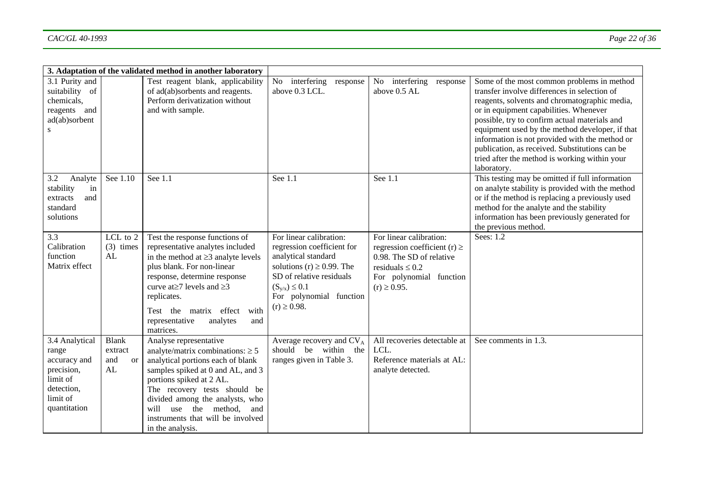|                                                                                                             |                                                       | 3. Adaptation of the validated method in another laboratory                                                                                                                                                                                                                                                                      |                                                                                                                                                                                                                  |                                                                                                                                                                |                                                                                                                                                                                                                                                                                                                                                                                                                                                               |
|-------------------------------------------------------------------------------------------------------------|-------------------------------------------------------|----------------------------------------------------------------------------------------------------------------------------------------------------------------------------------------------------------------------------------------------------------------------------------------------------------------------------------|------------------------------------------------------------------------------------------------------------------------------------------------------------------------------------------------------------------|----------------------------------------------------------------------------------------------------------------------------------------------------------------|---------------------------------------------------------------------------------------------------------------------------------------------------------------------------------------------------------------------------------------------------------------------------------------------------------------------------------------------------------------------------------------------------------------------------------------------------------------|
| 3.1 Purity and<br>suitability of<br>chemicals,<br>reagents and<br>ad(ab)sorbent<br>S                        |                                                       | Test reagent blank, applicability<br>of ad(ab)sorbents and reagents.<br>Perform derivatization without<br>and with sample.                                                                                                                                                                                                       | interfering response<br>No<br>above 0.3 LCL.                                                                                                                                                                     | No interfering<br>response<br>above 0.5 AL                                                                                                                     | Some of the most common problems in method<br>transfer involve differences in selection of<br>reagents, solvents and chromatographic media,<br>or in equipment capabilities. Whenever<br>possible, try to confirm actual materials and<br>equipment used by the method developer, if that<br>information is not provided with the method or<br>publication, as received. Substitutions can be<br>tried after the method is working within your<br>laboratory. |
| 3.2<br>Analyte<br>stability<br>in<br>and<br>extracts<br>standard<br>solutions                               | See 1.10                                              | See 1.1                                                                                                                                                                                                                                                                                                                          | See 1.1                                                                                                                                                                                                          | See 1.1                                                                                                                                                        | This testing may be omitted if full information<br>on analyte stability is provided with the method<br>or if the method is replacing a previously used<br>method for the analyte and the stability<br>information has been previously generated for<br>the previous method.                                                                                                                                                                                   |
| $\overline{3.3}$<br>Calibration<br>function<br>Matrix effect                                                | LCL to 2<br>$(3)$ times<br>AL                         | Test the response functions of<br>representative analytes included<br>in the method at $\geq$ 3 analyte levels<br>plus blank. For non-linear<br>response, determine response<br>curve at $\geq 7$ levels and $\geq 3$<br>replicates.<br>Test the matrix effect<br>with<br>representative<br>analytes<br>and<br>matrices.         | For linear calibration:<br>regression coefficient for<br>analytical standard<br>solutions (r) $\geq$ 0.99. The<br>SD of relative residuals<br>$(S_{v/x}) \le 0.1$<br>For polynomial function<br>$(r) \ge 0.98$ . | For linear calibration:<br>regression coefficient (r) $\ge$<br>0.98. The SD of relative<br>residuals $\leq 0.2$<br>For polynomial function<br>$(r) \ge 0.95$ . | Sees: $1.\overline{2}$                                                                                                                                                                                                                                                                                                                                                                                                                                        |
| 3.4 Analytical<br>range<br>accuracy and<br>precision,<br>limit of<br>detection,<br>limit of<br>quantitation | <b>Blank</b><br>extract<br>and<br><sub>or</sub><br>AL | Analyse representative<br>analyte/matrix combinations: $\geq 5$<br>analytical portions each of blank<br>samples spiked at 0 and AL, and 3<br>portions spiked at 2 AL.<br>The recovery tests should be<br>divided among the analysts, who<br>will use the method,<br>and<br>instruments that will be involved<br>in the analysis. | Average recovery and CV <sub>A</sub><br>should be within the<br>ranges given in Table 3.                                                                                                                         | All recoveries detectable at<br>LCL.<br>Reference materials at AL:<br>analyte detected.                                                                        | See comments in 1.3.                                                                                                                                                                                                                                                                                                                                                                                                                                          |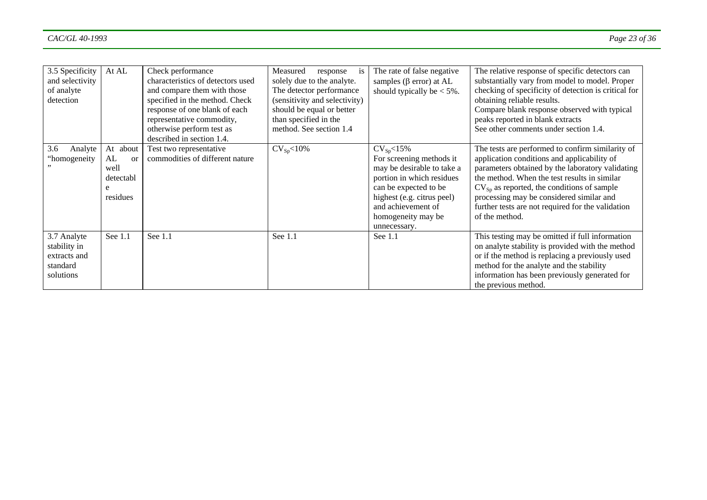| 3.5 Specificity<br>and selectivity<br>of analyte<br>detection        | At AL                                                       | Check performance<br>characteristics of detectors used<br>and compare them with those<br>specified in the method. Check<br>response of one blank of each<br>representative commodity,<br>otherwise perform test as<br>described in section 1.4. | Measured<br>response<br><b>1S</b><br>solely due to the analyte.<br>The detector performance<br>(sensitivity and selectivity)<br>should be equal or better<br>than specified in the<br>method. See section 1.4 | The rate of false negative<br>samples ( $\beta$ error) at AL<br>should typically be $< 5\%$ .                                                                                                                              | The relative response of specific detectors can<br>substantially vary from model to model. Proper<br>checking of specificity of detection is critical for<br>obtaining reliable results.<br>Compare blank response observed with typical<br>peaks reported in blank extracts<br>See other comments under section 1.4.                                                     |
|----------------------------------------------------------------------|-------------------------------------------------------------|-------------------------------------------------------------------------------------------------------------------------------------------------------------------------------------------------------------------------------------------------|---------------------------------------------------------------------------------------------------------------------------------------------------------------------------------------------------------------|----------------------------------------------------------------------------------------------------------------------------------------------------------------------------------------------------------------------------|---------------------------------------------------------------------------------------------------------------------------------------------------------------------------------------------------------------------------------------------------------------------------------------------------------------------------------------------------------------------------|
| 3.6<br>Analyte<br>"homogeneity                                       | At about<br>AL<br>$\alpha$<br>well<br>detectabl<br>residues | Test two representative<br>commodities of different nature                                                                                                                                                                                      | $CV_{Sp} < 10\%$                                                                                                                                                                                              | $CV_{Sp} < 15\%$<br>For screening methods it<br>may be desirable to take a<br>portion in which residues<br>can be expected to be<br>highest (e.g. citrus peel)<br>and achievement of<br>homogeneity may be<br>unnecessary. | The tests are performed to confirm similarity of<br>application conditions and applicability of<br>parameters obtained by the laboratory validating<br>the method. When the test results in similar<br>$CV_{Sp}$ as reported, the conditions of sample<br>processing may be considered similar and<br>further tests are not required for the validation<br>of the method. |
| 3.7 Analyte<br>stability in<br>extracts and<br>standard<br>solutions | See 1.1                                                     | See 1.1                                                                                                                                                                                                                                         | See 1.1                                                                                                                                                                                                       | See 1.1                                                                                                                                                                                                                    | This testing may be omitted if full information<br>on analyte stability is provided with the method<br>or if the method is replacing a previously used<br>method for the analyte and the stability<br>information has been previously generated for<br>the previous method.                                                                                               |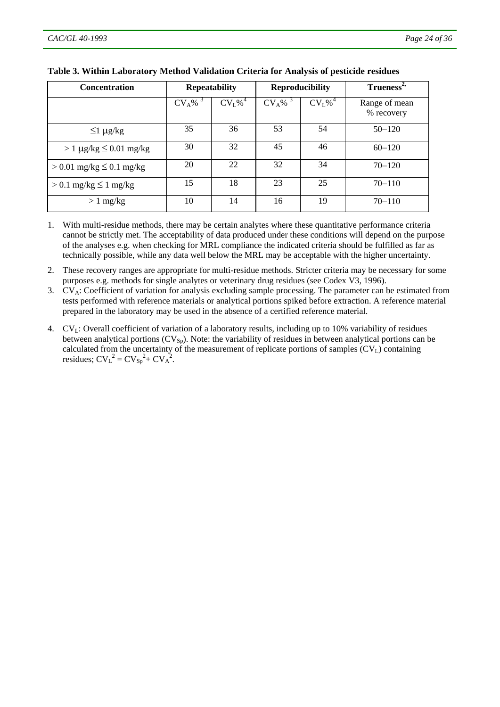| <b>Concentration</b>             |                       | <b>Repeatability</b>           |          | <b>Reproducibility</b>         | Trueness <sup>2</sup>       |
|----------------------------------|-----------------------|--------------------------------|----------|--------------------------------|-----------------------------|
|                                  | $CV_A\%$ <sup>3</sup> | CV <sub>L</sub> % <sup>4</sup> | $CV_A\%$ | CV <sub>L</sub> % <sup>4</sup> | Range of mean<br>% recovery |
| $\leq$ 1 µg/kg                   | 35                    | 36                             | 53       | 54                             | $50 - 120$                  |
| $> 1 \mu g/kg \leq 0.01 \ mg/kg$ | 30                    | 32                             | 45       | 46                             | $60 - 120$                  |
| $> 0.01$ mg/kg $\leq 0.1$ mg/kg  | 20                    | 22                             | 32       | 34                             | $70 - 120$                  |
| $> 0.1$ mg/kg $\leq 1$ mg/kg     | 15                    | 18                             | 23       | 25                             | $70 - 110$                  |
| $> 1$ mg/kg                      | 10                    | 14                             | 16       | 19                             | $70 - 110$                  |

#### **Table 3. Within Laboratory Method Validation Criteria for Analysis of pesticide residues**

1. With multi-residue methods, there may be certain analytes where these quantitative performance criteria cannot be strictly met. The acceptability of data produced under these conditions will depend on the purpose of the analyses e.g. when checking for MRL compliance the indicated criteria should be fulfilled as far as technically possible, while any data well below the MRL may be acceptable with the higher uncertainty.

2. These recovery ranges are appropriate for multi-residue methods. Stricter criteria may be necessary for some purposes e.g. methods for single analytes or veterinary drug residues (see Codex V3, 1996).

3. CV<sub>A</sub>: Coefficient of variation for analysis excluding sample processing. The parameter can be estimated from tests performed with reference materials or analytical portions spiked before extraction. A reference material prepared in the laboratory may be used in the absence of a certified reference material.

4. CVL: Overall coefficient of variation of a laboratory results, including up to 10% variability of residues between analytical portions  $(CV_{Sp})$ . Note: the variability of residues in between analytical portions can be calculated from the uncertainty of the measurement of replicate portions of samples (CV<sub>L</sub>) containing residues;  $CV_{L}^{2} = CV_{Sp}^{2} + CV_{A}^{2}$ .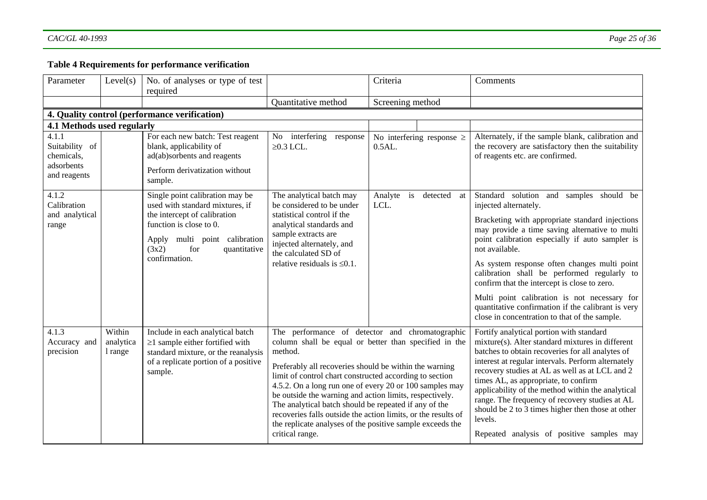# **Table 4 Requirements for performance verification**

| Parameter                                                           | Level(s)                       | No. of analyses or type of test<br>required                                                                                                                                                                     |                                                                                                                                                                                                                                                                                                                                                                                                                                                              | Criteria                                                                                                 | Comments                                                                                                                                                                                                                                                                                                                                                                                                                                                                                                                                         |
|---------------------------------------------------------------------|--------------------------------|-----------------------------------------------------------------------------------------------------------------------------------------------------------------------------------------------------------------|--------------------------------------------------------------------------------------------------------------------------------------------------------------------------------------------------------------------------------------------------------------------------------------------------------------------------------------------------------------------------------------------------------------------------------------------------------------|----------------------------------------------------------------------------------------------------------|--------------------------------------------------------------------------------------------------------------------------------------------------------------------------------------------------------------------------------------------------------------------------------------------------------------------------------------------------------------------------------------------------------------------------------------------------------------------------------------------------------------------------------------------------|
|                                                                     |                                |                                                                                                                                                                                                                 | Quantitative method                                                                                                                                                                                                                                                                                                                                                                                                                                          | Screening method                                                                                         |                                                                                                                                                                                                                                                                                                                                                                                                                                                                                                                                                  |
|                                                                     |                                | 4. Quality control (performance verification)                                                                                                                                                                   |                                                                                                                                                                                                                                                                                                                                                                                                                                                              |                                                                                                          |                                                                                                                                                                                                                                                                                                                                                                                                                                                                                                                                                  |
| 4.1 Methods used regularly                                          |                                |                                                                                                                                                                                                                 |                                                                                                                                                                                                                                                                                                                                                                                                                                                              |                                                                                                          |                                                                                                                                                                                                                                                                                                                                                                                                                                                                                                                                                  |
| 4.1.1<br>Suitability of<br>chemicals,<br>adsorbents<br>and reagents |                                | For each new batch: Test reagent<br>blank, applicability of<br>ad(ab)sorbents and reagents<br>Perform derivatization without<br>sample.                                                                         | No interfering<br>response<br>$\geq$ 0.3 LCL.                                                                                                                                                                                                                                                                                                                                                                                                                | No interfering response $\geq$<br>0.5AL.                                                                 | Alternately, if the sample blank, calibration and<br>the recovery are satisfactory then the suitability<br>of reagents etc. are confirmed.                                                                                                                                                                                                                                                                                                                                                                                                       |
| 4.1.2<br>Calibration<br>and analytical<br>range                     |                                | Single point calibration may be<br>used with standard mixtures, if<br>the intercept of calibration<br>function is close to 0.<br>Apply multi point calibration<br>(3x2)<br>for<br>quantitative<br>confirmation. | The analytical batch may<br>be considered to be under<br>statistical control if the<br>analytical standards and<br>sample extracts are<br>injected alternately, and<br>the calculated SD of<br>relative residuals is $\leq 0.1$ .                                                                                                                                                                                                                            | Analyte<br>i <sub>s</sub><br>detected at<br>LCL.                                                         | Standard solution and samples should be<br>injected alternately.<br>Bracketing with appropriate standard injections<br>may provide a time saving alternative to multi<br>point calibration especially if auto sampler is<br>not available.<br>As system response often changes multi point<br>calibration shall be performed regularly to<br>confirm that the intercept is close to zero.<br>Multi point calibration is not necessary for<br>quantitative confirmation if the calibrant is very<br>close in concentration to that of the sample. |
| 4.1.3<br>Accuracy and<br>precision                                  | Within<br>analytica<br>1 range | Include in each analytical batch<br>$\geq$ 1 sample either fortified with<br>standard mixture, or the reanalysis<br>of a replicate portion of a positive<br>sample.                                             | method.<br>Preferably all recoveries should be within the warning<br>limit of control chart constructed according to section<br>4.5.2. On a long run one of every 20 or 100 samples may<br>be outside the warning and action limits, respectively.<br>The analytical batch should be repeated if any of the<br>recoveries falls outside the action limits, or the results of<br>the replicate analyses of the positive sample exceeds the<br>critical range. | The performance of detector and chromatographic<br>column shall be equal or better than specified in the | Fortify analytical portion with standard<br>mixture(s). Alter standard mixtures in different<br>batches to obtain recoveries for all analytes of<br>interest at regular intervals. Perform alternately<br>recovery studies at AL as well as at LCL and 2<br>times AL, as appropriate, to confirm<br>applicability of the method within the analytical<br>range. The frequency of recovery studies at AL<br>should be 2 to 3 times higher then those at other<br>levels.<br>Repeated analysis of positive samples may                             |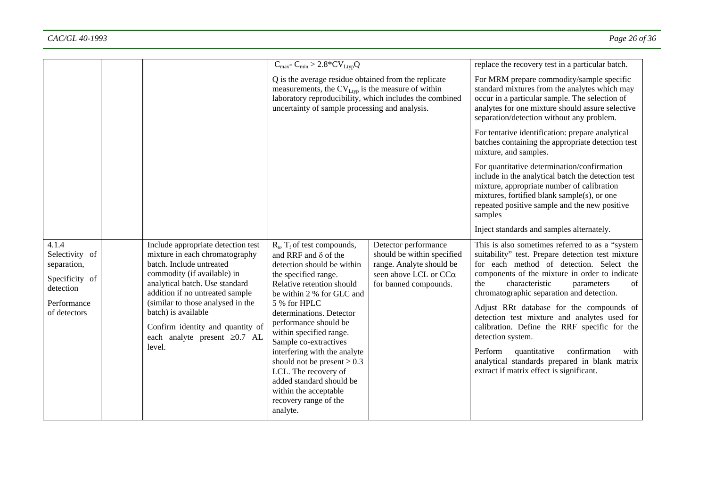|                                                                                                      |                                                                                                                                                                                                                                                                                                                                                      | $C_{\text{max}}$ - $C_{\text{min}}$ > 2.8* $CV_{\text{Ltyp}}Q$                                                                                                                                                                                                                                                                                                                                                                                                                                 |                                                                                                                                          | replace the recovery test in a particular batch.                                                                                                                                                                                                                                                                                                                                                                                                                                                                                                                                                               |
|------------------------------------------------------------------------------------------------------|------------------------------------------------------------------------------------------------------------------------------------------------------------------------------------------------------------------------------------------------------------------------------------------------------------------------------------------------------|------------------------------------------------------------------------------------------------------------------------------------------------------------------------------------------------------------------------------------------------------------------------------------------------------------------------------------------------------------------------------------------------------------------------------------------------------------------------------------------------|------------------------------------------------------------------------------------------------------------------------------------------|----------------------------------------------------------------------------------------------------------------------------------------------------------------------------------------------------------------------------------------------------------------------------------------------------------------------------------------------------------------------------------------------------------------------------------------------------------------------------------------------------------------------------------------------------------------------------------------------------------------|
|                                                                                                      |                                                                                                                                                                                                                                                                                                                                                      | Q is the average residue obtained from the replicate<br>measurements, the $CV_{Ltyp}$ is the measure of within<br>laboratory reproducibility, which includes the combined<br>uncertainty of sample processing and analysis.                                                                                                                                                                                                                                                                    |                                                                                                                                          | For MRM prepare commodity/sample specific<br>standard mixtures from the analytes which may<br>occur in a particular sample. The selection of<br>analytes for one mixture should assure selective<br>separation/detection without any problem.                                                                                                                                                                                                                                                                                                                                                                  |
|                                                                                                      |                                                                                                                                                                                                                                                                                                                                                      |                                                                                                                                                                                                                                                                                                                                                                                                                                                                                                |                                                                                                                                          | For tentative identification: prepare analytical<br>batches containing the appropriate detection test<br>mixture, and samples.                                                                                                                                                                                                                                                                                                                                                                                                                                                                                 |
|                                                                                                      |                                                                                                                                                                                                                                                                                                                                                      |                                                                                                                                                                                                                                                                                                                                                                                                                                                                                                |                                                                                                                                          | For quantitative determination/confirmation<br>include in the analytical batch the detection test<br>mixture, appropriate number of calibration<br>mixtures, fortified blank sample(s), or one<br>repeated positive sample and the new positive<br>samples                                                                                                                                                                                                                                                                                                                                                     |
|                                                                                                      |                                                                                                                                                                                                                                                                                                                                                      |                                                                                                                                                                                                                                                                                                                                                                                                                                                                                                |                                                                                                                                          | Inject standards and samples alternately.                                                                                                                                                                                                                                                                                                                                                                                                                                                                                                                                                                      |
| 4.1.4<br>Selectivity of<br>separation,<br>Specificity of<br>detection<br>Performance<br>of detectors | Include appropriate detection test<br>mixture in each chromatography<br>batch. Include untreated<br>commodity (if available) in<br>analytical batch. Use standard<br>addition if no untreated sample<br>(similar to those analysed in the<br>batch) is available<br>Confirm identity and quantity of<br>each analyte present $\geq 0.7$ AL<br>level. | $R_s$ , $T_f$ of test compounds,<br>and RRF and $\delta$ of the<br>detection should be within<br>the specified range.<br>Relative retention should<br>be within 2 % for GLC and<br>5 % for HPLC<br>determinations. Detector<br>performance should be<br>within specified range.<br>Sample co-extractives<br>interfering with the analyte<br>should not be present $\geq 0.3$<br>LCL. The recovery of<br>added standard should be<br>within the acceptable<br>recovery range of the<br>analyte. | Detector performance<br>should be within specified<br>range. Analyte should be<br>seen above LCL or CC $\alpha$<br>for banned compounds. | This is also sometimes referred to as a "system"<br>suitability" test. Prepare detection test mixture<br>for each method of detection. Select the<br>components of the mixture in order to indicate<br>characteristic<br>of<br>the<br>parameters<br>chromatographic separation and detection.<br>Adjust RRt database for the compounds of<br>detection test mixture and analytes used for<br>calibration. Define the RRF specific for the<br>detection system.<br>Perform<br>quantitative<br>confirmation<br>with<br>analytical standards prepared in blank matrix<br>extract if matrix effect is significant. |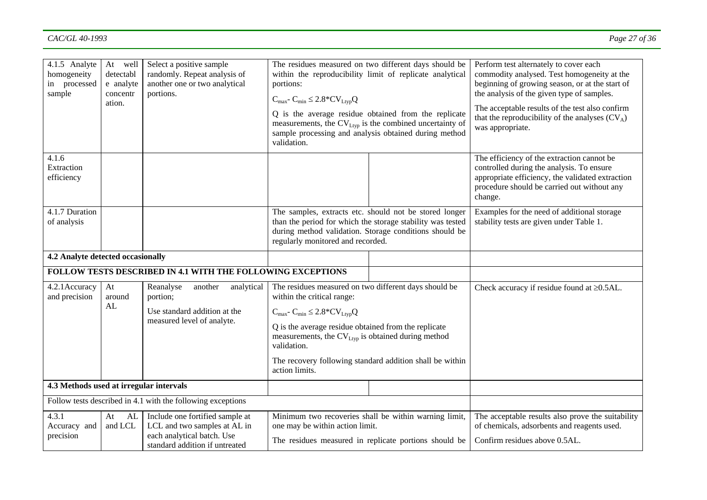| 4.1.5 Analyte<br>homogeneity<br>in processed<br>sample             | At well<br>detectabl<br>e analyte<br>concentr<br>ation. | Select a positive sample<br>randomly. Repeat analysis of<br>another one or two analytical<br>portions.                          | The residues measured on two different days should be<br>within the reproducibility limit of replicate analytical<br>portions:<br>$C_{\text{max}}$ - $C_{\text{min}} \leq 2.8$ * $CV_{\text{Ltyp}}Q$<br>Q is the average residue obtained from the replicate<br>measurements, the $CV_{Ltyp}$ is the combined uncertainty of<br>sample processing and analysis obtained during method<br>validation. |  | Perform test alternately to cover each<br>commodity analysed. Test homogeneity at the<br>beginning of growing season, or at the start of<br>the analysis of the given type of samples.<br>The acceptable results of the test also confirm<br>that the reproducibility of the analyses $(CV_A)$<br>was appropriate. |
|--------------------------------------------------------------------|---------------------------------------------------------|---------------------------------------------------------------------------------------------------------------------------------|------------------------------------------------------------------------------------------------------------------------------------------------------------------------------------------------------------------------------------------------------------------------------------------------------------------------------------------------------------------------------------------------------|--|--------------------------------------------------------------------------------------------------------------------------------------------------------------------------------------------------------------------------------------------------------------------------------------------------------------------|
| 4.1.6<br>Extraction<br>efficiency                                  |                                                         |                                                                                                                                 |                                                                                                                                                                                                                                                                                                                                                                                                      |  | The efficiency of the extraction cannot be<br>controlled during the analysis. To ensure<br>appropriate efficiency, the validated extraction<br>procedure should be carried out without any<br>change.                                                                                                              |
| 4.1.7 Duration<br>of analysis                                      |                                                         |                                                                                                                                 | The samples, extracts etc. should not be stored longer<br>than the period for which the storage stability was tested<br>during method validation. Storage conditions should be<br>regularly monitored and recorded.                                                                                                                                                                                  |  | Examples for the need of additional storage<br>stability tests are given under Table 1.                                                                                                                                                                                                                            |
| 4.2 Analyte detected occasionally                                  |                                                         |                                                                                                                                 |                                                                                                                                                                                                                                                                                                                                                                                                      |  |                                                                                                                                                                                                                                                                                                                    |
| <b>FOLLOW TESTS DESCRIBED IN 4.1 WITH THE FOLLOWING EXCEPTIONS</b> |                                                         |                                                                                                                                 |                                                                                                                                                                                                                                                                                                                                                                                                      |  |                                                                                                                                                                                                                                                                                                                    |
| 4.2.1 Accuracy<br>and precision                                    | At<br>around<br>AL                                      | Reanalyse<br>another<br>analytical<br>portion;<br>Use standard addition at the<br>measured level of analyte.                    | The residues measured on two different days should be<br>within the critical range:<br>$C_{\text{max}}$ - $C_{\text{min}} \leq 2.8$ * $CV_{\text{Ltyp}}Q$<br>Q is the average residue obtained from the replicate<br>measurements, the CV <sub>Ltyp</sub> is obtained during method<br>validation.<br>The recovery following standard addition shall be within<br>action limits.                     |  | Check accuracy if residue found at $\geq 0.5$ AL.                                                                                                                                                                                                                                                                  |
| 4.3 Methods used at irregular intervals                            |                                                         |                                                                                                                                 |                                                                                                                                                                                                                                                                                                                                                                                                      |  |                                                                                                                                                                                                                                                                                                                    |
| Follow tests described in 4.1 with the following exceptions        |                                                         |                                                                                                                                 |                                                                                                                                                                                                                                                                                                                                                                                                      |  |                                                                                                                                                                                                                                                                                                                    |
| 4.3.1<br>Accuracy and<br>precision                                 | At<br>AL<br>and LCL                                     | Include one fortified sample at<br>LCL and two samples at AL in<br>each analytical batch. Use<br>standard addition if untreated | Minimum two recoveries shall be within warning limit,<br>one may be within action limit.<br>The residues measured in replicate portions should be                                                                                                                                                                                                                                                    |  | The acceptable results also prove the suitability<br>of chemicals, adsorbents and reagents used.<br>Confirm residues above 0.5AL.                                                                                                                                                                                  |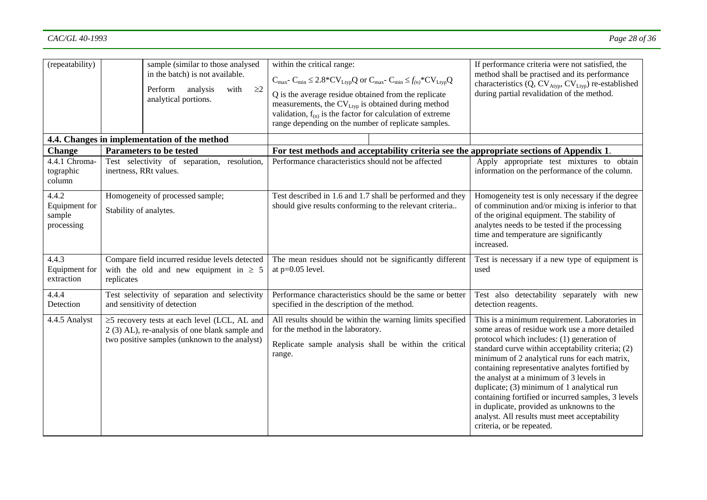| (repeatability)                                |                                                                                                            | sample (similar to those analysed<br>in the batch) is not available.<br>analysis<br>$\geq$ 2<br>Perform<br>with<br>analytical portions.               | within the critical range:<br>$C_{\text{max}}$ - $C_{\text{min}} \leq 2.8 \times CV_{\text{Ltyp}}Q$ or $C_{\text{max}}$ - $C_{\text{min}} \leq f_{(n)} \times CV_{\text{Ltyp}}Q$<br>Q is the average residue obtained from the replicate<br>measurements, the CV <sub>Ltyp</sub> is obtained during method<br>validation, $f_{(n)}$ is the factor for calculation of extreme<br>range depending on the number of replicate samples. | If performance criteria were not satisfied, the<br>method shall be practised and its performance<br>characteristics $(Q, CV_{Atyp}, CV_{Ltyp})$ re-established<br>during partial revalidation of the method.                                                                                                                                                                                                                                                                                                                                                                     |
|------------------------------------------------|------------------------------------------------------------------------------------------------------------|-------------------------------------------------------------------------------------------------------------------------------------------------------|-------------------------------------------------------------------------------------------------------------------------------------------------------------------------------------------------------------------------------------------------------------------------------------------------------------------------------------------------------------------------------------------------------------------------------------|----------------------------------------------------------------------------------------------------------------------------------------------------------------------------------------------------------------------------------------------------------------------------------------------------------------------------------------------------------------------------------------------------------------------------------------------------------------------------------------------------------------------------------------------------------------------------------|
|                                                |                                                                                                            | 4.4. Changes in implementation of the method                                                                                                          |                                                                                                                                                                                                                                                                                                                                                                                                                                     |                                                                                                                                                                                                                                                                                                                                                                                                                                                                                                                                                                                  |
| <b>Change</b>                                  |                                                                                                            | <b>Parameters to be tested</b>                                                                                                                        | For test methods and acceptability criteria see the appropriate sections of Appendix 1.                                                                                                                                                                                                                                                                                                                                             |                                                                                                                                                                                                                                                                                                                                                                                                                                                                                                                                                                                  |
| 4.4.1 Chroma-<br>tographic<br>column           | Test selectivity of separation, resolution,<br>inertness, RRt values.                                      |                                                                                                                                                       | Performance characteristics should not be affected                                                                                                                                                                                                                                                                                                                                                                                  | Apply appropriate test mixtures to obtain<br>information on the performance of the column.                                                                                                                                                                                                                                                                                                                                                                                                                                                                                       |
| 4.4.2<br>Equipment for<br>sample<br>processing | Homogeneity of processed sample;<br>Stability of analytes.                                                 |                                                                                                                                                       | Test described in 1.6 and 1.7 shall be performed and they<br>should give results conforming to the relevant criteria                                                                                                                                                                                                                                                                                                                | Homogeneity test is only necessary if the degree<br>of comminution and/or mixing is inferior to that<br>of the original equipment. The stability of<br>analytes needs to be tested if the processing<br>time and temperature are significantly<br>increased.                                                                                                                                                                                                                                                                                                                     |
| 4.4.3<br>Equipment for<br>extraction           | Compare field incurred residue levels detected<br>with the old and new equipment in $\geq 5$<br>replicates |                                                                                                                                                       | The mean residues should not be significantly different<br>at $p=0.05$ level.                                                                                                                                                                                                                                                                                                                                                       | Test is necessary if a new type of equipment is<br>used                                                                                                                                                                                                                                                                                                                                                                                                                                                                                                                          |
| 4.4.4<br>Detection                             |                                                                                                            | Test selectivity of separation and selectivity<br>and sensitivity of detection                                                                        | Performance characteristics should be the same or better<br>specified in the description of the method.                                                                                                                                                                                                                                                                                                                             | Test also detectability separately with new<br>detection reagents.                                                                                                                                                                                                                                                                                                                                                                                                                                                                                                               |
| 4.4.5 Analyst                                  |                                                                                                            | $\geq$ 5 recovery tests at each level (LCL, AL and<br>2 (3) AL), re-analysis of one blank sample and<br>two positive samples (unknown to the analyst) | All results should be within the warning limits specified<br>for the method in the laboratory.<br>Replicate sample analysis shall be within the critical<br>range.                                                                                                                                                                                                                                                                  | This is a minimum requirement. Laboratories in<br>some areas of residue work use a more detailed<br>protocol which includes: (1) generation of<br>standard curve within acceptability criteria; (2)<br>minimum of 2 analytical runs for each matrix,<br>containing representative analytes fortified by<br>the analyst at a minimum of 3 levels in<br>duplicate; (3) minimum of 1 analytical run<br>containing fortified or incurred samples, 3 levels<br>in duplicate, provided as unknowns to the<br>analyst. All results must meet acceptability<br>criteria, or be repeated. |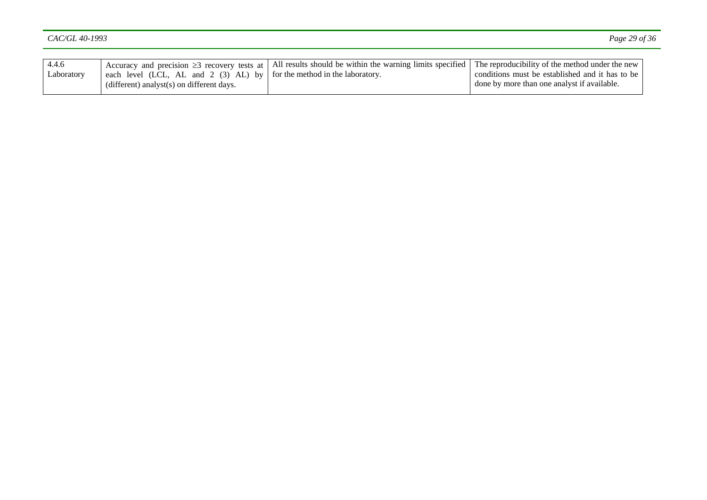| 4.4.6      | $\perp$ each level (LCL, AL and 2 (3) AL) by $\parallel$ for the method in the laboratory. | Accuracy and precision $\geq 3$ recovery tests at   All results should be within the warning limits specified   The reproducibility of the method under the new | conditions must be established and it has to be |
|------------|--------------------------------------------------------------------------------------------|-----------------------------------------------------------------------------------------------------------------------------------------------------------------|-------------------------------------------------|
| Laboratory | $(different)$ analyst $(s)$ on different days.                                             |                                                                                                                                                                 | done by more than one analyst if available.     |
|            |                                                                                            |                                                                                                                                                                 |                                                 |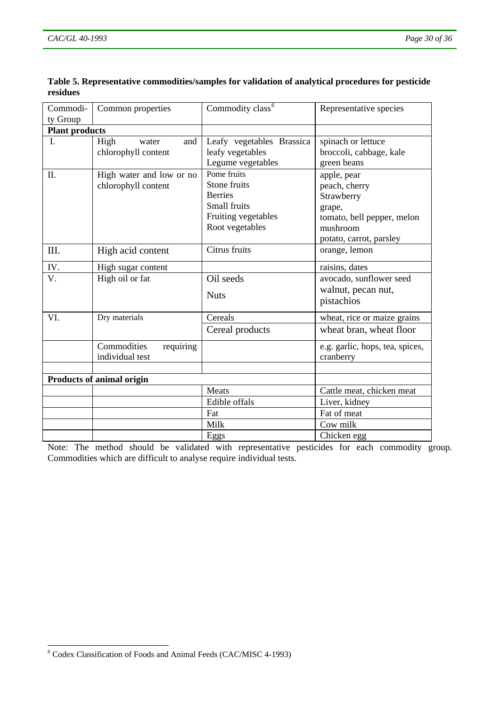| Commodi-                         | Common properties                               | Commodity class <sup>6</sup>                                                                            | Representative species                                                                                                    |  |
|----------------------------------|-------------------------------------------------|---------------------------------------------------------------------------------------------------------|---------------------------------------------------------------------------------------------------------------------------|--|
| ty Group                         |                                                 |                                                                                                         |                                                                                                                           |  |
| <b>Plant products</b>            |                                                 |                                                                                                         |                                                                                                                           |  |
| I.                               | High<br>and<br>water<br>chlorophyll content     | Leafy vegetables Brassica<br>leafy vegetables<br>Legume vegetables                                      | spinach or lettuce<br>broccoli, cabbage, kale<br>green beans                                                              |  |
| II.                              | High water and low or no<br>chlorophyll content | Pome fruits<br>Stone fruits<br><b>Berries</b><br>Small fruits<br>Fruiting vegetables<br>Root vegetables | apple, pear<br>peach, cherry<br>Strawberry<br>grape,<br>tomato, bell pepper, melon<br>mushroom<br>potato, carrot, parsley |  |
| III.                             | High acid content                               | Citrus fruits                                                                                           | orange, lemon                                                                                                             |  |
| IV.                              | High sugar content                              |                                                                                                         | raisins, dates                                                                                                            |  |
| V.                               | High oil or fat                                 | Oil seeds<br><b>Nuts</b>                                                                                | avocado, sunflower seed<br>walnut, pecan nut,<br>pistachios                                                               |  |
| VI.                              | Dry materials                                   | Cereals                                                                                                 | wheat, rice or maize grains                                                                                               |  |
|                                  |                                                 | Cereal products                                                                                         | wheat bran, wheat floor                                                                                                   |  |
|                                  | Commodities<br>requiring<br>individual test     |                                                                                                         | e.g. garlic, hops, tea, spices,<br>cranberry                                                                              |  |
| <b>Products of animal origin</b> |                                                 |                                                                                                         |                                                                                                                           |  |
|                                  |                                                 | Meats<br>Edible offals                                                                                  | Cattle meat, chicken meat<br>Liver, kidney                                                                                |  |
|                                  |                                                 | Fat                                                                                                     | Fat of meat                                                                                                               |  |
|                                  |                                                 | Milk                                                                                                    | Cow milk                                                                                                                  |  |
|                                  |                                                 | Eggs                                                                                                    | Chicken egg                                                                                                               |  |

<span id="page-29-0"></span>**Table 5. Representative commodities/samples for validation of analytical procedures for pesticide residues** 

Note: The method should be validated with representative pesticides for each commodity group. Commodities which are difficult to analyse require individual tests.

 6 Codex Classification of Foods and Animal Feeds (CAC/MISC 4-1993)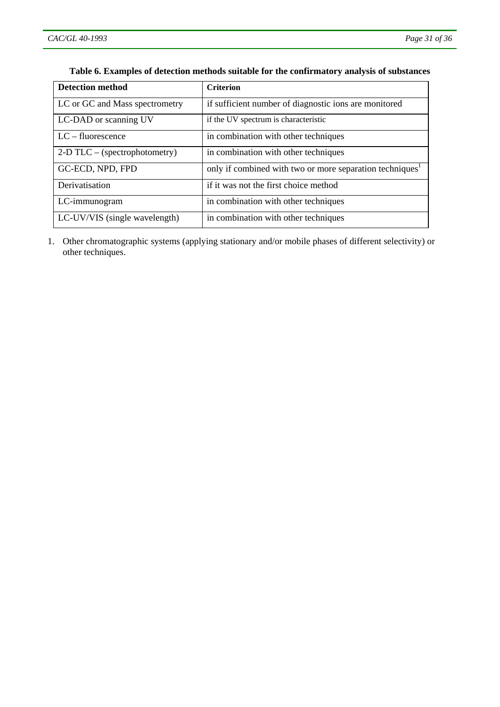| <b>Detection method</b>         | <b>Criterion</b>                                                     |
|---------------------------------|----------------------------------------------------------------------|
| LC or GC and Mass spectrometry  | if sufficient number of diagnostic ions are monitored                |
| LC-DAD or scanning UV           | if the UV spectrum is characteristic                                 |
| $LC$ – fluorescence             | in combination with other techniques                                 |
| $2-D TLC - (spectrophotometry)$ | in combination with other techniques                                 |
| GC-ECD, NPD, FPD                | only if combined with two or more separation techniques <sup>1</sup> |
| Derivatisation                  | if it was not the first choice method                                |
| LC-immunogram                   | in combination with other techniques                                 |
| LC-UV/VIS (single wavelength)   | in combination with other techniques                                 |

### **Table 6. Examples of detection methods suitable for the confirmatory analysis of substances**

1. Other chromatographic systems (applying stationary and/or mobile phases of different selectivity) or other techniques.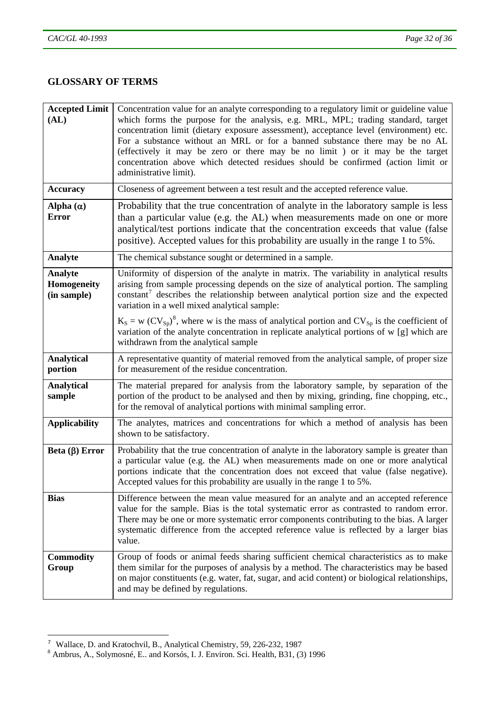# <span id="page-31-0"></span>**GLOSSARY OF TERMS**

| <b>Accepted Limit</b><br>(AL)                | Concentration value for an analyte corresponding to a regulatory limit or guideline value<br>which forms the purpose for the analysis, e.g. MRL, MPL; trading standard, target<br>concentration limit (dietary exposure assessment), acceptance level (environment) etc.<br>For a substance without an MRL or for a banned substance there may be no AL<br>(effectively it may be zero or there may be no limit) or it may be the target<br>concentration above which detected residues should be confirmed (action limit or<br>administrative limit). |
|----------------------------------------------|--------------------------------------------------------------------------------------------------------------------------------------------------------------------------------------------------------------------------------------------------------------------------------------------------------------------------------------------------------------------------------------------------------------------------------------------------------------------------------------------------------------------------------------------------------|
| <b>Accuracy</b>                              | Closeness of agreement between a test result and the accepted reference value.                                                                                                                                                                                                                                                                                                                                                                                                                                                                         |
| Alpha $(\alpha)$<br><b>Error</b>             | Probability that the true concentration of analyte in the laboratory sample is less<br>than a particular value (e.g. the AL) when measurements made on one or more<br>analytical/test portions indicate that the concentration exceeds that value (false<br>positive). Accepted values for this probability are usually in the range 1 to 5%.                                                                                                                                                                                                          |
| Analyte                                      | The chemical substance sought or determined in a sample.                                                                                                                                                                                                                                                                                                                                                                                                                                                                                               |
| <b>Analyte</b><br>Homogeneity<br>(in sample) | Uniformity of dispersion of the analyte in matrix. The variability in analytical results<br>arising from sample processing depends on the size of analytical portion. The sampling<br>constant <sup>7</sup> describes the relationship between analytical portion size and the expected<br>variation in a well mixed analytical sample:                                                                                                                                                                                                                |
|                                              | $K_S = w (CV_{Sp})^8$ , where w is the mass of analytical portion and $CV_{Sp}$ is the coefficient of<br>variation of the analyte concentration in replicate analytical portions of w [g] which are<br>withdrawn from the analytical sample                                                                                                                                                                                                                                                                                                            |
| <b>Analytical</b><br>portion                 | A representative quantity of material removed from the analytical sample, of proper size<br>for measurement of the residue concentration.                                                                                                                                                                                                                                                                                                                                                                                                              |
| <b>Analytical</b><br>sample                  | The material prepared for analysis from the laboratory sample, by separation of the<br>portion of the product to be analysed and then by mixing, grinding, fine chopping, etc.,<br>for the removal of analytical portions with minimal sampling error.                                                                                                                                                                                                                                                                                                 |
| <b>Applicability</b>                         | The analytes, matrices and concentrations for which a method of analysis has been<br>shown to be satisfactory.                                                                                                                                                                                                                                                                                                                                                                                                                                         |
| Beta $(\beta)$ Error                         | Probability that the true concentration of analyte in the laboratory sample is greater than<br>a particular value (e.g. the AL) when measurements made on one or more analytical<br>portions indicate that the concentration does not exceed that value (false negative).<br>Accepted values for this probability are usually in the range 1 to 5%.                                                                                                                                                                                                    |
| <b>Bias</b>                                  | Difference between the mean value measured for an analyte and an accepted reference<br>value for the sample. Bias is the total systematic error as contrasted to random error.<br>There may be one or more systematic error components contributing to the bias. A larger<br>systematic difference from the accepted reference value is reflected by a larger bias<br>value.                                                                                                                                                                           |
| <b>Commodity</b><br>Group                    | Group of foods or animal feeds sharing sufficient chemical characteristics as to make<br>them similar for the purposes of analysis by a method. The characteristics may be based<br>on major constituents (e.g. water, fat, sugar, and acid content) or biological relationships,<br>and may be defined by regulations.                                                                                                                                                                                                                                |

l

<sup>&</sup>lt;sup>7</sup> Wallace, D. and Kratochvil, B., Analytical Chemistry, 59, 226-232, 1987<br><sup>8</sup> Ambrus, A., Solymosné, E.. and Korsós, I. J. Environ. Sci. Health, B31, (3) 1996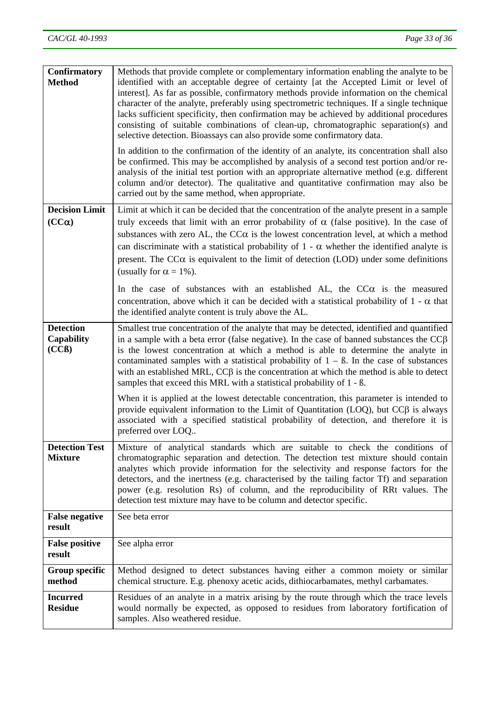| <b>Confirmatory</b><br><b>Method</b>           | Methods that provide complete or complementary information enabling the analyte to be<br>identified with an acceptable degree of certainty [at the Accepted Limit or level of<br>interest]. As far as possible, confirmatory methods provide information on the chemical<br>character of the analyte, preferably using spectrometric techniques. If a single technique<br>lacks sufficient specificity, then confirmation may be achieved by additional procedures<br>consisting of suitable combinations of clean-up, chromatographic separation(s) and<br>selective detection. Bioassays can also provide some confirmatory data.<br>In addition to the confirmation of the identity of an analyte, its concentration shall also<br>be confirmed. This may be accomplished by analysis of a second test portion and/or re-<br>analysis of the initial test portion with an appropriate alternative method (e.g. different<br>column and/or detector). The qualitative and quantitative confirmation may also be<br>carried out by the same method, when appropriate. |
|------------------------------------------------|------------------------------------------------------------------------------------------------------------------------------------------------------------------------------------------------------------------------------------------------------------------------------------------------------------------------------------------------------------------------------------------------------------------------------------------------------------------------------------------------------------------------------------------------------------------------------------------------------------------------------------------------------------------------------------------------------------------------------------------------------------------------------------------------------------------------------------------------------------------------------------------------------------------------------------------------------------------------------------------------------------------------------------------------------------------------|
| <b>Decision Limit</b>                          | Limit at which it can be decided that the concentration of the analyte present in a sample                                                                                                                                                                                                                                                                                                                                                                                                                                                                                                                                                                                                                                                                                                                                                                                                                                                                                                                                                                             |
| $(CC\alpha)$                                   | truly exceeds that limit with an error probability of $\alpha$ (false positive). In the case of<br>substances with zero AL, the $CC\alpha$ is the lowest concentration level, at which a method<br>can discriminate with a statistical probability of $1 - \alpha$ whether the identified analyte is<br>present. The $CC\alpha$ is equivalent to the limit of detection (LOD) under some definitions<br>(usually for $\alpha = 1\%$ ).                                                                                                                                                                                                                                                                                                                                                                                                                                                                                                                                                                                                                                 |
|                                                | In the case of substances with an established AL, the $CC\alpha$ is the measured<br>concentration, above which it can be decided with a statistical probability of $1 - \alpha$ that<br>the identified analyte content is truly above the AL.                                                                                                                                                                                                                                                                                                                                                                                                                                                                                                                                                                                                                                                                                                                                                                                                                          |
| <b>Detection</b><br><b>Capability</b><br>(CCB) | Smallest true concentration of the analyte that may be detected, identified and quantified<br>in a sample with a beta error (false negative). In the case of banned substances the $CC\beta$<br>is the lowest concentration at which a method is able to determine the analyte in<br>contaminated samples with a statistical probability of $1 - \beta$ . In the case of substances<br>with an established MRL, $CC\beta$ is the concentration at which the method is able to detect<br>samples that exceed this MRL with a statistical probability of 1 - ß.                                                                                                                                                                                                                                                                                                                                                                                                                                                                                                          |
|                                                | When it is applied at the lowest detectable concentration, this parameter is intended to<br>provide equivalent information to the Limit of Quantitation (LOQ), but $CC\beta$ is always<br>associated with a specified statistical probability of detection, and therefore it is<br>preferred over LOQ                                                                                                                                                                                                                                                                                                                                                                                                                                                                                                                                                                                                                                                                                                                                                                  |
| <b>Detection Test</b><br><b>Mixture</b>        | Mixture of analytical standards which are suitable to check the conditions of<br>chromatographic separation and detection. The detection test mixture should contain<br>analytes which provide information for the selectivity and response factors for the<br>detectors, and the inertness (e.g. characterised by the tailing factor Tf) and separation<br>power (e.g. resolution Rs) of column, and the reproducibility of RRt values. The<br>detection test mixture may have to be column and detector specific.                                                                                                                                                                                                                                                                                                                                                                                                                                                                                                                                                    |
| <b>False negative</b><br>result                | See beta error                                                                                                                                                                                                                                                                                                                                                                                                                                                                                                                                                                                                                                                                                                                                                                                                                                                                                                                                                                                                                                                         |
| <b>False positive</b><br>result                | See alpha error                                                                                                                                                                                                                                                                                                                                                                                                                                                                                                                                                                                                                                                                                                                                                                                                                                                                                                                                                                                                                                                        |
| Group specific<br>method                       | Method designed to detect substances having either a common moiety or similar<br>chemical structure. E.g. phenoxy acetic acids, dithiocarbamates, methyl carbamates.                                                                                                                                                                                                                                                                                                                                                                                                                                                                                                                                                                                                                                                                                                                                                                                                                                                                                                   |
| <b>Incurred</b><br><b>Residue</b>              | Residues of an analyte in a matrix arising by the route through which the trace levels<br>would normally be expected, as opposed to residues from laboratory fortification of<br>samples. Also weathered residue.                                                                                                                                                                                                                                                                                                                                                                                                                                                                                                                                                                                                                                                                                                                                                                                                                                                      |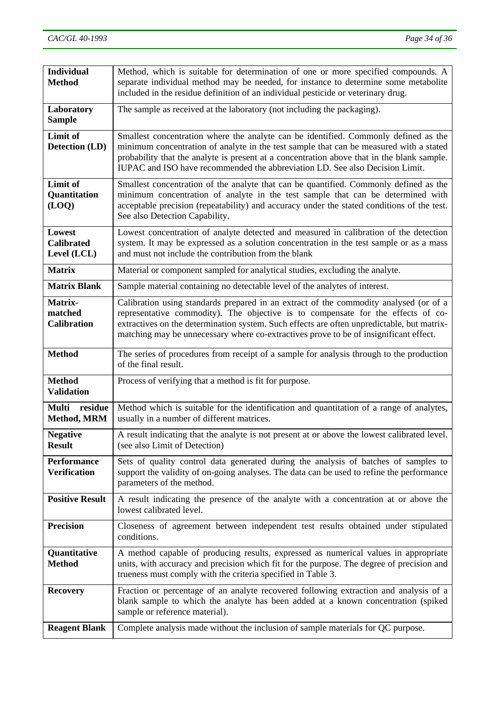| <b>Individual</b><br><b>Method</b>         | Method, which is suitable for determination of one or more specified compounds. A<br>separate individual method may be needed, for instance to determine some metabolite<br>included in the residue definition of an individual pesticide or veterinary drug.                                                                                                    |  |  |
|--------------------------------------------|------------------------------------------------------------------------------------------------------------------------------------------------------------------------------------------------------------------------------------------------------------------------------------------------------------------------------------------------------------------|--|--|
| Laboratory<br><b>Sample</b>                | The sample as received at the laboratory (not including the packaging).                                                                                                                                                                                                                                                                                          |  |  |
| Limit of<br>Detection (LD)                 | Smallest concentration where the analyte can be identified. Commonly defined as the<br>minimum concentration of analyte in the test sample that can be measured with a stated<br>probability that the analyte is present at a concentration above that in the blank sample.<br>IUPAC and ISO have recommended the abbreviation LD. See also Decision Limit.      |  |  |
| <b>Limit of</b><br>Quantitation<br>(LOQ)   | Smallest concentration of the analyte that can be quantified. Commonly defined as the<br>minimum concentration of analyte in the test sample that can be determined with<br>acceptable precision (repeatability) and accuracy under the stated conditions of the test.<br>See also Detection Capability.                                                         |  |  |
| Lowest<br><b>Calibrated</b><br>Level (LCL) | Lowest concentration of analyte detected and measured in calibration of the detection<br>system. It may be expressed as a solution concentration in the test sample or as a mass<br>and must not include the contribution from the blank                                                                                                                         |  |  |
| <b>Matrix</b>                              | Material or component sampled for analytical studies, excluding the analyte.                                                                                                                                                                                                                                                                                     |  |  |
| <b>Matrix Blank</b>                        | Sample material containing no detectable level of the analytes of interest.                                                                                                                                                                                                                                                                                      |  |  |
| Matrix-<br>matched<br><b>Calibration</b>   | Calibration using standards prepared in an extract of the commodity analysed (or of a<br>representative commodity). The objective is to compensate for the effects of co-<br>extractives on the determination system. Such effects are often unpredictable, but matrix-<br>matching may be unnecessary where co-extractives prove to be of insignificant effect. |  |  |
| <b>Method</b>                              | The series of procedures from receipt of a sample for analysis through to the production<br>of the final result.                                                                                                                                                                                                                                                 |  |  |
| <b>Method</b><br><b>Validation</b>         | Process of verifying that a method is fit for purpose.                                                                                                                                                                                                                                                                                                           |  |  |
| residue<br><b>Multi</b><br>Method, MRM     | Method which is suitable for the identification and quantitation of a range of analytes,<br>usually in a number of different matrices.                                                                                                                                                                                                                           |  |  |
| <b>Negative</b><br><b>Result</b>           | A result indicating that the analyte is not present at or above the lowest calibrated level.<br>(see also Limit of Detection)                                                                                                                                                                                                                                    |  |  |
| <b>Performance</b><br><b>Verification</b>  | Sets of quality control data generated during the analysis of batches of samples to<br>support the validity of on-going analyses. The data can be used to refine the performance<br>parameters of the method.                                                                                                                                                    |  |  |
| <b>Positive Result</b>                     | A result indicating the presence of the analyte with a concentration at or above the<br>lowest calibrated level.                                                                                                                                                                                                                                                 |  |  |
| <b>Precision</b>                           | Closeness of agreement between independent test results obtained under stipulated<br>conditions.                                                                                                                                                                                                                                                                 |  |  |
| Quantitative<br><b>Method</b>              | A method capable of producing results, expressed as numerical values in appropriate<br>units, with accuracy and precision which fit for the purpose. The degree of precision and<br>trueness must comply with the criteria specified in Table 3.                                                                                                                 |  |  |
| <b>Recovery</b>                            | Fraction or percentage of an analyte recovered following extraction and analysis of a<br>blank sample to which the analyte has been added at a known concentration (spiked<br>sample or reference material).                                                                                                                                                     |  |  |
| <b>Reagent Blank</b>                       | Complete analysis made without the inclusion of sample materials for QC purpose.                                                                                                                                                                                                                                                                                 |  |  |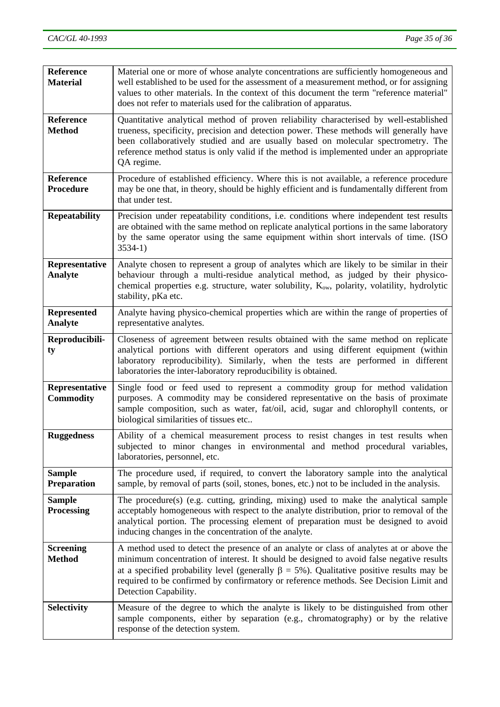| <b>Reference</b><br><b>Material</b>  | Material one or more of whose analyte concentrations are sufficiently homogeneous and<br>well established to be used for the assessment of a measurement method, or for assigning<br>values to other materials. In the context of this document the term "reference material"<br>does not refer to materials used for the calibration of apparatus.                                                       |  |  |
|--------------------------------------|-----------------------------------------------------------------------------------------------------------------------------------------------------------------------------------------------------------------------------------------------------------------------------------------------------------------------------------------------------------------------------------------------------------|--|--|
| <b>Reference</b><br><b>Method</b>    | Quantitative analytical method of proven reliability characterised by well-established<br>trueness, specificity, precision and detection power. These methods will generally have<br>been collaboratively studied and are usually based on molecular spectrometry. The<br>reference method status is only valid if the method is implemented under an appropriate<br>QA regime.                           |  |  |
| <b>Reference</b><br>Procedure        | Procedure of established efficiency. Where this is not available, a reference procedure<br>may be one that, in theory, should be highly efficient and is fundamentally different from<br>that under test.                                                                                                                                                                                                 |  |  |
| <b>Repeatability</b>                 | Precision under repeatability conditions, i.e. conditions where independent test results<br>are obtained with the same method on replicate analytical portions in the same laboratory<br>by the same operator using the same equipment within short intervals of time. (ISO<br>$3534-1)$                                                                                                                  |  |  |
| Representative<br><b>Analyte</b>     | Analyte chosen to represent a group of analytes which are likely to be similar in their<br>behaviour through a multi-residue analytical method, as judged by their physico-<br>chemical properties e.g. structure, water solubility, K <sub>ow</sub> , polarity, volatility, hydrolytic<br>stability, pKa etc.                                                                                            |  |  |
| <b>Represented</b><br><b>Analyte</b> | Analyte having physico-chemical properties which are within the range of properties of<br>representative analytes.                                                                                                                                                                                                                                                                                        |  |  |
| Reproducibili-<br>ty                 | Closeness of agreement between results obtained with the same method on replicate<br>analytical portions with different operators and using different equipment (within<br>laboratory reproducibility). Similarly, when the tests are performed in different<br>laboratories the inter-laboratory reproducibility is obtained.                                                                            |  |  |
| Representative<br><b>Commodity</b>   | Single food or feed used to represent a commodity group for method validation<br>purposes. A commodity may be considered representative on the basis of proximate<br>sample composition, such as water, fat/oil, acid, sugar and chlorophyll contents, or<br>biological similarities of tissues etc                                                                                                       |  |  |
| <b>Ruggedness</b>                    | Ability of a chemical measurement process to resist changes in test results when<br>subjected to minor changes in environmental and method procedural variables,<br>laboratories, personnel, etc.                                                                                                                                                                                                         |  |  |
| <b>Sample</b><br><b>Preparation</b>  | The procedure used, if required, to convert the laboratory sample into the analytical<br>sample, by removal of parts (soil, stones, bones, etc.) not to be included in the analysis.                                                                                                                                                                                                                      |  |  |
| <b>Sample</b><br><b>Processing</b>   | The procedure(s) (e.g. cutting, grinding, mixing) used to make the analytical sample<br>acceptably homogeneous with respect to the analyte distribution, prior to removal of the<br>analytical portion. The processing element of preparation must be designed to avoid<br>inducing changes in the concentration of the analyte.                                                                          |  |  |
| <b>Screening</b><br><b>Method</b>    | A method used to detect the presence of an analyte or class of analytes at or above the<br>minimum concentration of interest. It should be designed to avoid false negative results<br>at a specified probability level (generally $\beta = 5\%$ ). Qualitative positive results may be<br>required to be confirmed by confirmatory or reference methods. See Decision Limit and<br>Detection Capability. |  |  |
| <b>Selectivity</b>                   | Measure of the degree to which the analyte is likely to be distinguished from other<br>sample components, either by separation (e.g., chromatography) or by the relative<br>response of the detection system.                                                                                                                                                                                             |  |  |